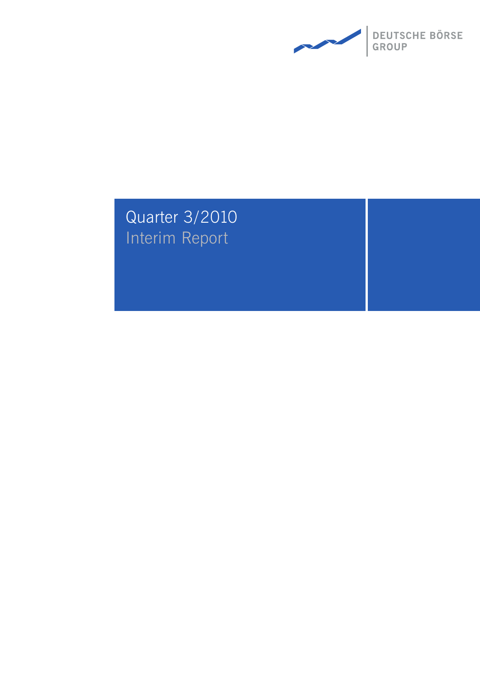

# Quarter 3/2010 Interim Report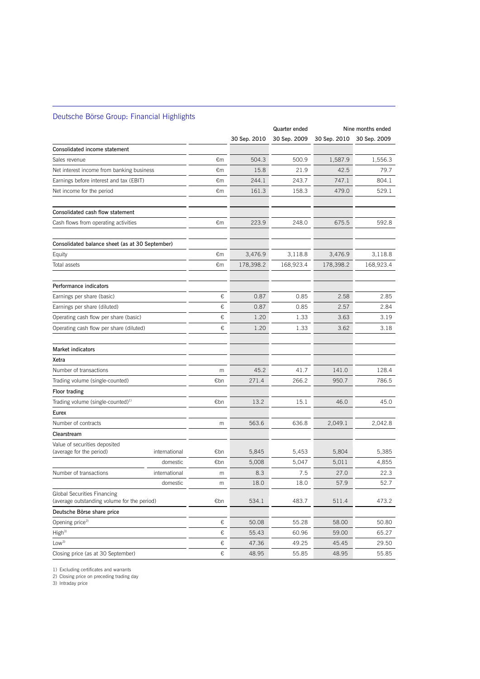### Deutsche Börse Group: Financial Highlights

 $\overline{a}$ 

|                                                                                   |               |     |              | Quarter ended |              | Nine months ended |
|-----------------------------------------------------------------------------------|---------------|-----|--------------|---------------|--------------|-------------------|
|                                                                                   |               |     | 30 Sep. 2010 | 30 Sep. 2009  | 30 Sep. 2010 | 30 Sep. 2009      |
| Consolidated income statement                                                     |               |     |              |               |              |                   |
| Sales revenue                                                                     |               | €m  | 504.3        | 500.9         | 1,587.9      | 1,556.3           |
| Net interest income from banking business                                         |               | €m  | 15.8         | 21.9          | 42.5         | 79.7              |
| Earnings before interest and tax (EBIT)                                           |               | €m  | 244.1        | 243.7         | 747.1        | 804.1             |
| Net income for the period                                                         |               | €m  | 161.3        | 158.3         | 479.0        | 529.1             |
| Consolidated cash flow statement                                                  |               |     |              |               |              |                   |
| Cash flows from operating activities                                              |               | €m  | 223.9        | 248.0         | 675.5        | 592.8             |
| Consolidated balance sheet (as at 30 September)                                   |               |     |              |               |              |                   |
| Equity                                                                            |               | €m  | 3,476.9      | 3,118.8       | 3,476.9      | 3,118.8           |
| Total assets                                                                      |               | €m  | 178,398.2    | 168,923.4     | 178,398.2    | 168,923.4         |
| Performance indicators                                                            |               |     |              |               |              |                   |
| Earnings per share (basic)                                                        |               | €   | 0.87         | 0.85          | 2.58         | 2.85              |
| Earnings per share (diluted)                                                      |               | €   | 0.87         | 0.85          | 2.57         | 2.84              |
| Operating cash flow per share (basic)                                             |               | €   | 1.20         | 1.33          | 3.63         | 3.19              |
| Operating cash flow per share (diluted)                                           |               | €   | 1.20         | 1.33          | 3.62         | 3.18              |
| <b>Market indicators</b>                                                          |               |     |              |               |              |                   |
| Xetra                                                                             |               |     |              |               |              |                   |
| Number of transactions                                                            |               | m   | 45.2         | 41.7          | 141.0        | 128.4             |
| Trading volume (single-counted)                                                   |               | €bn | 271.4        | 266.2         | 950.7        | 786.5             |
| <b>Floor trading</b>                                                              |               |     |              |               |              |                   |
| Trading volume (single-counted) <sup>1)</sup>                                     |               | €bn | 13.2         | 15.1          | 46.0         | 45.0              |
| Eurex                                                                             |               |     |              |               |              |                   |
| Number of contracts                                                               |               | m   | 563.6        | 636.8         | 2,049.1      | 2,042.8           |
| Clearstream                                                                       |               |     |              |               |              |                   |
| Value of securities deposited<br>(average for the period)                         | international | €bn | 5,845        | 5,453         | 5,804        | 5,385             |
|                                                                                   | domestic      | €bn | 5,008        | 5,047         | 5,011        | 4,855             |
| Number of transactions                                                            | international | m   | 8.3          | 7.5           | 27.0         | 22.3              |
|                                                                                   | domestic      | m   | 18.0         | 18.0          | 57.9         | 52.7              |
| <b>Global Securities Financing</b><br>(average outstanding volume for the period) |               | €bn | 534.1        | 483.7         | 511.4        | 473.2             |
| Deutsche Börse share price                                                        |               |     |              |               |              |                   |
| Opening price <sup>2)</sup>                                                       |               | €   | 50.08        | 55.28         | 58.00        | 50.80             |
| High <sup>3</sup>                                                                 |               | €   | 55.43        | 60.96         | 59.00        | 65.27             |
| Low <sup>3</sup>                                                                  |               | €   | 47.36        | 49.25         | 45.45        | 29.50             |
| Closing price (as at 30 September)                                                |               | €   | 48.95        | 55.85         | 48.95        | 55.85             |

1) Excluding certificates and warrants

2) Closing price on preceding trading day

3) Intraday price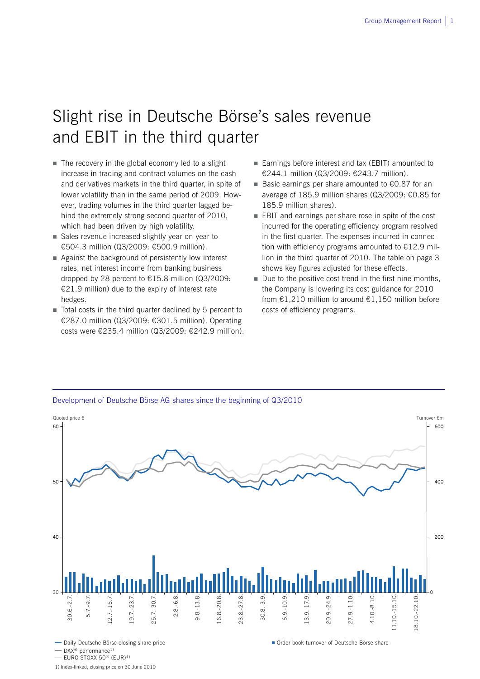## Slight rise in Deutsche Börse's sales revenue and EBIT in the third quarter

- $\blacksquare$  The recovery in the global economy led to a slight increase in trading and contract volumes on the cash and derivatives markets in the third quarter, in spite of lower volatility than in the same period of 2009. However, trading volumes in the third quarter lagged behind the extremely strong second quarter of 2010, which had been driven by high volatility.
- Sales revenue increased slightly year-on-year to €504.3 million (Q3/2009: €500.9 million).
- Against the background of persistently low interest rates, net interest income from banking business dropped by 28 percent to €15.8 million (Q3/2009: €21.9 million) due to the expiry of interest rate hedges.
- Total costs in the third quarter declined by 5 percent to €287.0 million (Q3/2009: €301.5 million). Operating costs were €235.4 million (Q3/2009: €242.9 million).
- Earnings before interest and tax (EBIT) amounted to €244.1 million (Q3/2009: €243.7 million).
- Basic earnings per share amounted to €0.87 for an average of 185.9 million shares (Q3/2009: €0.85 for 185.9 million shares).
- **EBIT** and earnings per share rose in spite of the cost incurred for the operating efficiency program resolved in the first quarter. The expenses incurred in connection with efficiency programs amounted to €12.9 million in the third quarter of 2010. The table on page 3 shows key figures adjusted for these effects.
- $\blacksquare$  Due to the positive cost trend in the first nine months, the Company is lowering its cost guidance for 2010 from €1,210 million to around €1,150 million before costs of efficiency programs.



#### Development of Deutsche Börse AG shares since the beginning of Q3/2010

- DAX<sup>®</sup> performance<sup>1)</sup>

EURO STOXX 50® (EUR)1)

1) Index-linked, closing price on 30 June 2010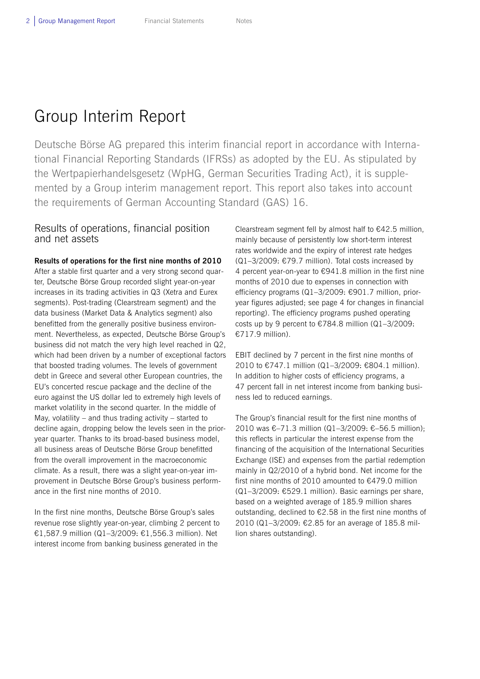## Group Interim Report

Deutsche Börse AG prepared this interim financial report in accordance with International Financial Reporting Standards (IFRSs) as adopted by the EU. As stipulated by the Wertpapierhandelsgesetz (WpHG, German Securities Trading Act), it is supplemented by a Group interim management report. This report also takes into account the requirements of German Accounting Standard (GAS) 16.

### Results of operations, financial position and net assets

**Results of operations for the first nine months of 2010**  After a stable first quarter and a very strong second quarter, Deutsche Börse Group recorded slight year-on-year increases in its trading activities in Q3 (Xetra and Eurex segments). Post-trading (Clearstream segment) and the data business (Market Data & Analytics segment) also benefitted from the generally positive business environment. Nevertheless, as expected, Deutsche Börse Group's business did not match the very high level reached in Q2, which had been driven by a number of exceptional factors that boosted trading volumes. The levels of government debt in Greece and several other European countries, the EU's concerted rescue package and the decline of the euro against the US dollar led to extremely high levels of market volatility in the second quarter. In the middle of May, volatility – and thus trading activity – started to decline again, dropping below the levels seen in the prioryear quarter. Thanks to its broad-based business model, all business areas of Deutsche Börse Group benefitted from the overall improvement in the macroeconomic climate. As a result, there was a slight year-on-year improvement in Deutsche Börse Group's business performance in the first nine months of 2010.

In the first nine months, Deutsche Börse Group's sales revenue rose slightly year-on-year, climbing 2 percent to €1,587.9 million (Q1–3/2009: €1,556.3 million). Net interest income from banking business generated in the

Clearstream segment fell by almost half to €42.5 million, mainly because of persistently low short-term interest rates worldwide and the expiry of interest rate hedges (Q1–3/2009: €79.7 million). Total costs increased by 4 percent year-on-year to €941.8 million in the first nine months of 2010 due to expenses in connection with efficiency programs (Q1–3/2009: €901.7 million, prioryear figures adjusted; see page 4 for changes in financial reporting). The efficiency programs pushed operating costs up by 9 percent to €784.8 million (Q1–3/2009: €717.9 million).

EBIT declined by 7 percent in the first nine months of 2010 to €747.1 million (Q1–3/2009: €804.1 million). In addition to higher costs of efficiency programs, a 47 percent fall in net interest income from banking business led to reduced earnings.

The Group's financial result for the first nine months of 2010 was €–71.3 million (Q1–3/2009: €–56.5 million); this reflects in particular the interest expense from the financing of the acquisition of the International Securities Exchange (ISE) and expenses from the partial redemption mainly in Q2/2010 of a hybrid bond. Net income for the first nine months of 2010 amounted to €479.0 million (Q1–3/2009: €529.1 million). Basic earnings per share, based on a weighted average of 185.9 million shares outstanding, declined to €2.58 in the first nine months of 2010 (Q1–3/2009: €2.85 for an average of 185.8 million shares outstanding).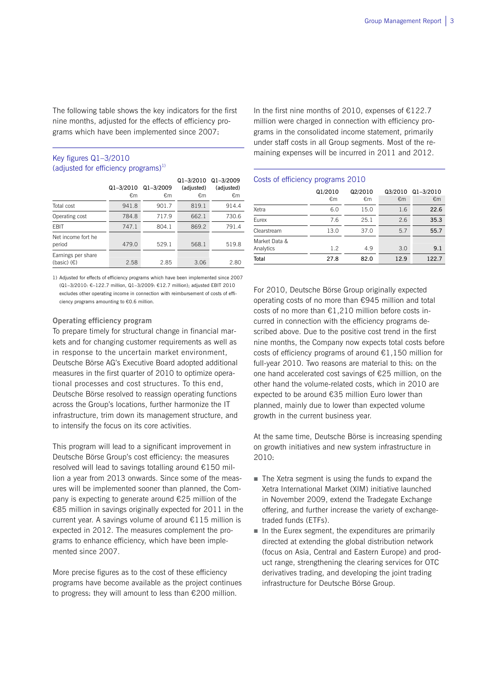The following table shows the key indicators for the first nine months, adjusted for the effects of efficiency programs which have been implemented since 2007:

#### Key figures Q1–3/2010 (adjusted for efficiency programs) $^{1}$ )

 $\overline{a}$ 

|                                            | $Q1 - 3/2010$<br>€m | $Q1 - 3/2009$<br>€m | $Q1 - 3/2010$<br>(adjusted)<br>€m | $Q1 - 3/2009$<br>(adjusted)<br>€m |
|--------------------------------------------|---------------------|---------------------|-----------------------------------|-----------------------------------|
| Total cost                                 | 941.8               | 901.7               | 819.1                             | 914.4                             |
| Operating cost                             | 784.8               | 717.9               | 662.1                             | 730.6                             |
| <b>FBIT</b>                                | 747.1               | 804.1               | 869.2                             | 791.4                             |
| Net income fort he<br>period               | 479.0               | 529.1               | 568.1                             | 519.8                             |
| Earnings per share<br>(basic) $(\epsilon)$ | 2.58                | 2.85                | 3.06                              | 2.80                              |

1) Adjusted for effects of efficiency programs which have been implemented since 2007 (Q1–3/2010: €–122.7 million, Q1–3/2009: €12.7 million); adjusted EBIT 2010 excludes other operating income in connection with reimbursement of costs of efficiency programs amounting to €0.6 million.

#### **Operating efficiency program**

To prepare timely for structural change in financial markets and for changing customer requirements as well as in response to the uncertain market environment, Deutsche Börse AG's Executive Board adopted additional measures in the first quarter of 2010 to optimize operational processes and cost structures. To this end, Deutsche Börse resolved to reassign operating functions across the Group's locations, further harmonize the IT infrastructure, trim down its management structure, and to intensify the focus on its core activities.

This program will lead to a significant improvement in Deutsche Börse Group's cost efficiency: the measures resolved will lead to savings totalling around €150 million a year from 2013 onwards. Since some of the measures will be implemented sooner than planned, the Company is expecting to generate around €25 million of the €85 million in savings originally expected for 2011 in the current year. A savings volume of around €115 million is expected in 2012. The measures complement the programs to enhance efficiency, which have been implemented since 2007.

More precise figures as to the cost of these efficiency programs have become available as the project continues to progress: they will amount to less than €200 million.

In the first nine months of 2010, expenses of  $£122.7$ million were charged in connection with efficiency programs in the consolidated income statement, primarily under staff costs in all Group segments. Most of the remaining expenses will be incurred in 2011 and 2012.

#### Costs of efficiency programs 2010

L

|               | Q1/2010 | Q2/2010 | Q3/2010 | $Q1 - 3/2010$ |
|---------------|---------|---------|---------|---------------|
|               | €m      | €m      | €m      | €m            |
| Xetra         | 6.0     | 15.0    | 1.6     | 22.6          |
| Eurex         | 7.6     | 25.1    | 2.6     | 35.3          |
| Clearstream   | 13.0    | 37.0    | 5.7     | 55.7          |
| Market Data & |         |         |         |               |
| Analytics     | 1.2     | 4.9     | 3.0     | 9.1           |
| Total         | 27.8    | 82.0    | 12.9    | 122.7         |

For 2010, Deutsche Börse Group originally expected operating costs of no more than €945 million and total costs of no more than  $E1,210$  million before costs incurred in connection with the efficiency programs described above. Due to the positive cost trend in the first nine months, the Company now expects total costs before costs of efficiency programs of around €1,150 million for full-year 2010. Two reasons are material to this: on the one hand accelerated cost savings of €25 million, on the other hand the volume-related costs, which in 2010 are expected to be around €35 million Euro lower than planned, mainly due to lower than expected volume growth in the current business year.

At the same time, Deutsche Börse is increasing spending on growth initiatives and new system infrastructure in 2010:

- The Xetra segment is using the funds to expand the Xetra International Market (XIM) initiative launched in November 2009, extend the Tradegate Exchange offering, and further increase the variety of exchangetraded funds (ETFs).
- In the Eurex segment, the expenditures are primarily directed at extending the global distribution network (focus on Asia, Central and Eastern Europe) and product range, strengthening the clearing services for OTC derivatives trading, and developing the joint trading infrastructure for Deutsche Börse Group.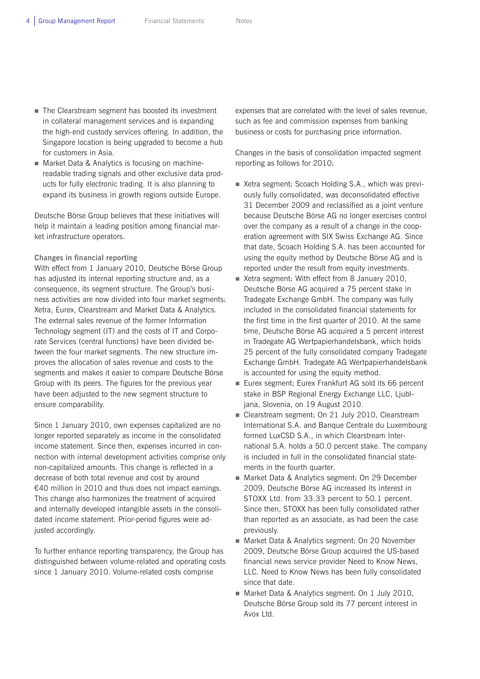- The Clearstream segment has boosted its investment in collateral management services and is expanding the high-end custody services offering. In addition, the Singapore location is being upgraded to become a hub for customers in Asia.
- Market Data & Analytics is focusing on machinereadable trading signals and other exclusive data products for fully electronic trading. It is also planning to expand its business in growth regions outside Europe.

Deutsche Börse Group believes that these initiatives will help it maintain a leading position among financial market infrastructure operators.

#### **Changes in financial reporting**

With effect from 1 January 2010, Deutsche Börse Group has adjusted its internal reporting structure and, as a consequence, its segment structure. The Group's business activities are now divided into four market segments: Xetra, Eurex, Clearstream and Market Data & Analytics. The external sales revenue of the former Information Technology segment (IT) and the costs of IT and Corporate Services (central functions) have been divided between the four market segments. The new structure improves the allocation of sales revenue and costs to the segments and makes it easier to compare Deutsche Börse Group with its peers. The figures for the previous year have been adjusted to the new segment structure to ensure comparability.

Since 1 January 2010, own expenses capitalized are no longer reported separately as income in the consolidated income statement. Since then, expenses incurred in connection with internal development activities comprise only non-capitalized amounts. This change is reflected in a decrease of both total revenue and cost by around €40 million in 2010 and thus does not impact earnings. This change also harmonizes the treatment of acquired and internally developed intangible assets in the consolidated income statement. Prior-period figures were adjusted accordingly.

To further enhance reporting transparency, the Group has distinguished between volume-related and operating costs since 1 January 2010. Volume-related costs comprise

expenses that are correlated with the level of sales revenue, such as fee and commission expenses from banking business or costs for purchasing price information.

Changes in the basis of consolidation impacted segment reporting as follows for 2010:

- Xetra segment: Scoach Holding S.A., which was previously fully consolidated, was deconsolidated effective 31 December 2009 and reclassified as a joint venture because Deutsche Börse AG no longer exercises control over the company as a result of a change in the cooperation agreement with SIX Swiss Exchange AG. Since that date, Scoach Holding S.A. has been accounted for using the equity method by Deutsche Börse AG and is reported under the result from equity investments.
- Xetra segment: With effect from 8 January 2010, Deutsche Börse AG acquired a 75 percent stake in Tradegate Exchange GmbH. The company was fully included in the consolidated financial statements for the first time in the first quarter of 2010. At the same time, Deutsche Börse AG acquired a 5 percent interest in Tradegate AG Wertpapierhandelsbank, which holds 25 percent of the fully consolidated company Tradegate Exchange GmbH. Tradegate AG Wertpapierhandelsbank is accounted for using the equity method.
- Eurex segment: Eurex Frankfurt AG sold its 66 percent stake in BSP Regional Energy Exchange LLC, Ljubljana, Slovenia, on 19 August 2010.
- Clearstream segment: On 21 July 2010, Clearstream International S.A. and Banque Centrale du Luxembourg formed LuxCSD S.A., in which Clearstream International S.A. holds a 50.0 percent stake. The company is included in full in the consolidated financial statements in the fourth quarter.
- Market Data & Analytics segment: On 29 December 2009, Deutsche Börse AG increased its interest in STOXX Ltd. from 33.33 percent to 50.1 percent. Since then, STOXX has been fully consolidated rather than reported as an associate, as had been the case previously.
- Market Data & Analytics segment: On 20 November 2009, Deutsche Börse Group acquired the US-based financial news service provider Need to Know News, LLC. Need to Know News has been fully consolidated since that date.
- Market Data & Analytics segment: On 1 July 2010, Deutsche Börse Group sold its 77 percent interest in Avox Ltd.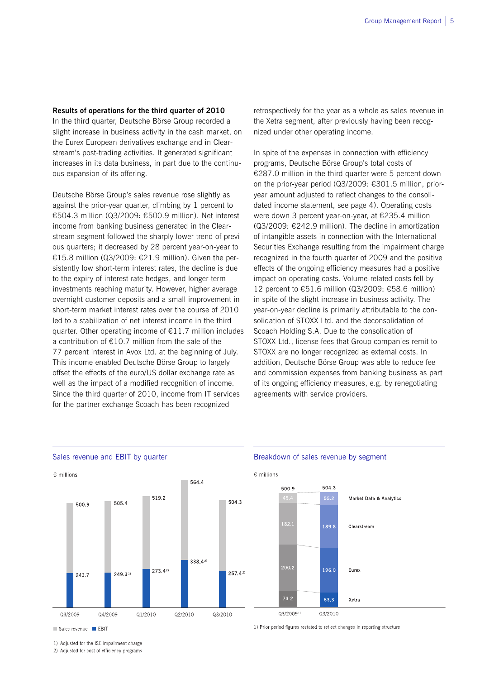**Results of operations for the third quarter of 2010** 

In the third quarter, Deutsche Börse Group recorded a slight increase in business activity in the cash market, on the Eurex European derivatives exchange and in Clearstream's post-trading activities. It generated significant increases in its data business, in part due to the continuous expansion of its offering.

Deutsche Börse Group's sales revenue rose slightly as against the prior-year quarter, climbing by 1 percent to €504.3 million (Q3/2009: €500.9 million). Net interest income from banking business generated in the Clearstream segment followed the sharply lower trend of previous quarters; it decreased by 28 percent year-on-year to €15.8 million (Q3/2009: €21.9 million). Given the persistently low short-term interest rates, the decline is due to the expiry of interest rate hedges, and longer-term investments reaching maturity. However, higher average overnight customer deposits and a small improvement in short-term market interest rates over the course of 2010 led to a stabilization of net interest income in the third quarter. Other operating income of €11.7 million includes a contribution of  $£10.7$  million from the sale of the 77 percent interest in Avox Ltd. at the beginning of July. This income enabled Deutsche Börse Group to largely offset the effects of the euro/US dollar exchange rate as well as the impact of a modified recognition of income. Since the third quarter of 2010, income from IT services for the partner exchange Scoach has been recognized

retrospectively for the year as a whole as sales revenue in the Xetra segment, after previously having been recognized under other operating income.

In spite of the expenses in connection with efficiency programs, Deutsche Börse Group's total costs of €287.0 million in the third quarter were 5 percent down on the prior-year period (Q3/2009: €301.5 million, prioryear amount adjusted to reflect changes to the consolidated income statement, see page 4). Operating costs were down 3 percent year-on-year, at €235.4 million (Q3/2009: €242.9 million). The decline in amortization of intangible assets in connection with the International Securities Exchange resulting from the impairment charge recognized in the fourth quarter of 2009 and the positive effects of the ongoing efficiency measures had a positive impact on operating costs. Volume-related costs fell by 12 percent to €51.6 million (Q3/2009: €58.6 million) in spite of the slight increase in business activity. The year-on-year decline is primarily attributable to the consolidation of STOXX Ltd. and the deconsolidation of Scoach Holding S.A. Due to the consolidation of STOXX Ltd., license fees that Group companies remit to STOXX are no longer recognized as external costs. In addition, Deutsche Börse Group was able to reduce fee and commission expenses from banking business as part of its ongoing efficiency measures, e.g. by renegotiating agreements with service providers.



Sales revenue EBIT

1) Adjusted for the ISE impairment charge

2) Adjusted for cost of efficiency programs

#### Sales revenue and EBIT by quarter **Breakdown of sales revenue by segment**

1) Prior period figures restated to reflect changes in reporting structure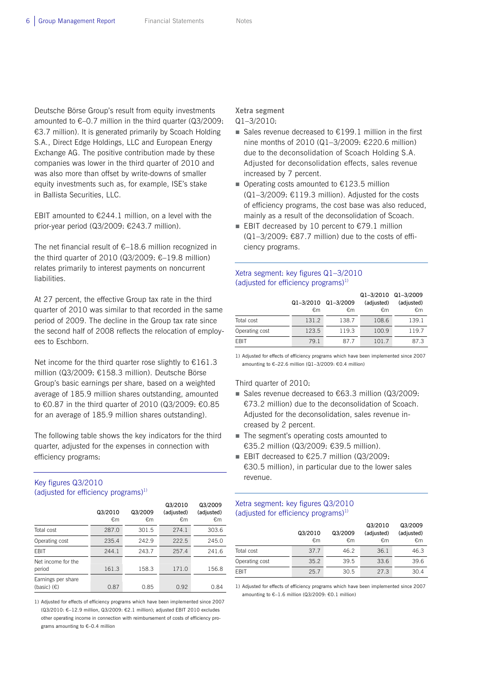Deutsche Börse Group's result from equity investments amounted to  $\epsilon$ –0.7 million in the third quarter (Q3/2009: €3.7 million). It is generated primarily by Scoach Holding S.A., Direct Edge Holdings, LLC and European Energy Exchange AG. The positive contribution made by these companies was lower in the third quarter of 2010 and was also more than offset by write-downs of smaller equity investments such as, for example, ISE's stake in Ballista Securities, LLC.

EBIT amounted to  $€244.1$  million, on a level with the prior-year period (Q3/2009: €243.7 million).

The net financial result of  $\epsilon$ -18.6 million recognized in the third quarter of 2010 (Q3/2009:  $€-19.8$  million) relates primarily to interest payments on noncurrent liabilities.

At 27 percent, the effective Group tax rate in the third quarter of 2010 was similar to that recorded in the same period of 2009. The decline in the Group tax rate since the second half of 2008 reflects the relocation of employees to Eschborn.

Net income for the third quarter rose slightly to  $£161.3$ million (Q3/2009: €158.3 million). Deutsche Börse Group's basic earnings per share, based on a weighted average of 185.9 million shares outstanding, amounted to €0.87 in the third quarter of 2010 (Q3/2009: €0.85 for an average of 185.9 million shares outstanding).

The following table shows the key indicators for the third quarter, adjusted for the expenses in connection with efficiency programs:

#### Key figures Q3/2010 (adjusted for efficiency programs) $^{1}$ )

|                                            | Q3/2010<br>€m | Q3/2009<br>€m | Q3/2010<br>(adjusted)<br>€m | Q3/2009<br>(adjusted)<br>€m |
|--------------------------------------------|---------------|---------------|-----------------------------|-----------------------------|
| Total cost                                 | 287.0         | 301.5         | 274.1                       | 303.6                       |
| Operating cost                             | 235.4         | 242.9         | 222.5                       | 245.0                       |
| <b>FBIT</b>                                | 244.1         | 243.7         | 257.4                       | 241.6                       |
| Net income for the<br>period               | 161.3         | 158.3         | 171.0                       | 156.8                       |
| Earnings per share<br>(basic) $(\epsilon)$ | 0.87          | 0.85          | 0.92                        | 0.84                        |

1) Adjusted for effects of efficiency programs which have been implemented since 2007 (Q3/2010: €–12.9 million, Q3/2009: €2.1 million); adjusted EBIT 2010 excludes other operating income in connection with reimbursement of costs of efficiency programs amounting to €–0.4 million

### **Xetra segment**

#### Q1–3/2010:

- Sales revenue decreased to  $£199.1$  million in the first nine months of 2010 (Q1–3/2009: €220.6 million) due to the deconsolidation of Scoach Holding S.A. Adjusted for deconsolidation effects, sales revenue increased by 7 percent.
- Operating costs amounted to  $€123.5$  million  $(Q1-3/2009; \text{ } \in 119.3 \text{ million})$ . Adjusted for the costs of efficiency programs, the cost base was also reduced, mainly as a result of the deconsolidation of Scoach.
- EBIT decreased by 10 percent to  $€79.1$  million  $(Q1-3/2009: \text{\textsterling}87.7$  million) due to the costs of efficiency programs.

#### Xetra segment: key figures Q1–3/2010 (adjusted for efficiency programs) $1$ )

|                | Q1-3/2010 Q1-3/2009<br>€m | €m    | Q1-3/2010 Q1-3/2009<br>(adjusted)<br>€m | (adjusted)<br>€m |
|----------------|---------------------------|-------|-----------------------------------------|------------------|
| Total cost     | 131.2                     | 138.7 | 108.6                                   | 139.1            |
| Operating cost | 123.5                     | 119.3 | 100.9                                   | 119.7            |
| <b>FRIT</b>    | 79.1                      | 87 7  | 101.7                                   | 873              |

1) Adjusted for effects of efficiency programs which have been implemented since 2007 amounting to €–22.6 million (Q1–3/2009: €0.4 million)

#### Third quarter of 2010:

- Sales revenue decreased to  $€63.3$  million (Q3/2009: €73.2 million) due to the deconsolidation of Scoach. Adjusted for the deconsolidation, sales revenue increased by 2 percent.
- The segment's operating costs amounted to €35.2 million (Q3/2009: €39.5 million).
- EBIT decreased to  $€25.7$  million (Q3/2009: €30.5 million), in particular due to the lower sales revenue.

#### Xetra segment: key figures Q3/2010 (adjusted for efficiency programs) $1$ )

|                | Q3/2010<br>€m | Q3/2009<br>€m | Q3/2010<br>(adjusted)<br>€m | Q3/2009<br>(adjusted)<br>€m |
|----------------|---------------|---------------|-----------------------------|-----------------------------|
| Total cost     | 37.7          | 46.2          | 36.1                        | 46.3                        |
| Operating cost | 35.2          | 39.5          | 33.6                        | 39.6                        |
| <b>FBIT</b>    | 25.7          | 30.5          | 27.3                        | 30.4                        |

1) Adjusted for effects of efficiency programs which have been implemented since 2007 amounting to €–1.6 million (Q3/2009: €0.1 million)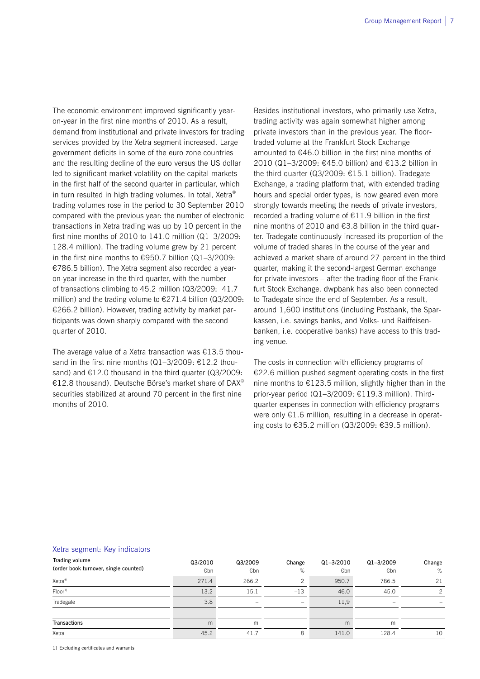The economic environment improved significantly yearon-year in the first nine months of 2010. As a result, demand from institutional and private investors for trading services provided by the Xetra segment increased. Large government deficits in some of the euro zone countries and the resulting decline of the euro versus the US dollar led to significant market volatility on the capital markets in the first half of the second quarter in particular, which in turn resulted in high trading volumes. In total, Xetra® trading volumes rose in the period to 30 September 2010 compared with the previous year: the number of electronic transactions in Xetra trading was up by 10 percent in the first nine months of 2010 to 141.0 million (Q1–3/2009: 128.4 million). The trading volume grew by 21 percent in the first nine months to €950.7 billion  $(Q1−3/2009)$ : €786.5 billion). The Xetra segment also recorded a yearon-year increase in the third quarter, with the number of transactions climbing to 45.2 million (Q3/2009: 41.7 million) and the trading volume to €271.4 billion (Q3/2009: €266.2 billion). However, trading activity by market participants was down sharply compared with the second quarter of 2010.

The average value of a Xetra transaction was €13.5 thousand in the first nine months (Q1-3/2009: €12.2 thousand) and  $E12.0$  thousand in the third quarter (Q3/2009: €12.8 thousand). Deutsche Börse's market share of DAX® securities stabilized at around 70 percent in the first nine months of 2010.

Besides institutional investors, who primarily use Xetra, trading activity was again somewhat higher among private investors than in the previous year. The floortraded volume at the Frankfurt Stock Exchange amounted to €46.0 billion in the first nine months of 2010 (Q1–3/2009: €45.0 billion) and €13.2 billion in the third quarter (Q3/2009: €15.1 billion). Tradegate Exchange, a trading platform that, with extended trading hours and special order types, is now geared even more strongly towards meeting the needs of private investors, recorded a trading volume of €11.9 billion in the first nine months of 2010 and  $63.8$  billion in the third quarter. Tradegate continuously increased its proportion of the volume of traded shares in the course of the year and achieved a market share of around 27 percent in the third quarter, making it the second-largest German exchange for private investors – after the trading floor of the Frankfurt Stock Exchange. dwpbank has also been connected to Tradegate since the end of September. As a result, around 1,600 institutions (including Postbank, the Sparkassen, i.e. savings banks, and Volks- und Raiffeisenbanken, i.e. cooperative banks) have access to this trading venue.

The costs in connection with efficiency programs of €22.6 million pushed segment operating costs in the first nine months to €123.5 million, slightly higher than in the prior-year period (Q1–3/2009: €119.3 million). Thirdquarter expenses in connection with efficiency programs were only €1.6 million, resulting in a decrease in operating costs to €35.2 million (Q3/2009: €39.5 million).

#### Xetra segment: Key indicators

| Trading volume<br>(order book turnover, single counted) | Q3/2010<br>€bn | Q3/2009<br>€bn | Change<br>%              | $Q1 - 3/2010$<br>€bn | $Q1 - 3/2009$<br>€bn | Change<br>% |
|---------------------------------------------------------|----------------|----------------|--------------------------|----------------------|----------------------|-------------|
| Xetra <sup>®</sup>                                      | 271.4          | 266.2          | っ                        | 950.7                | 786.5                | 21          |
| $Floor^{1)}$                                            | 13.2           | 15.1           | $-13$                    | 46.0                 | 45.0                 | 2           |
| Tradegate                                               | 3.8            | -              | $\overline{\phantom{a}}$ | 11,9                 | -                    |             |
| <b>Transactions</b>                                     | m              | m              |                          | m                    | m                    |             |
| Xetra                                                   | 45.2           | 41.7           | 8                        | 141.0                | 128.4                | 10          |

1) Excluding certificates and warrants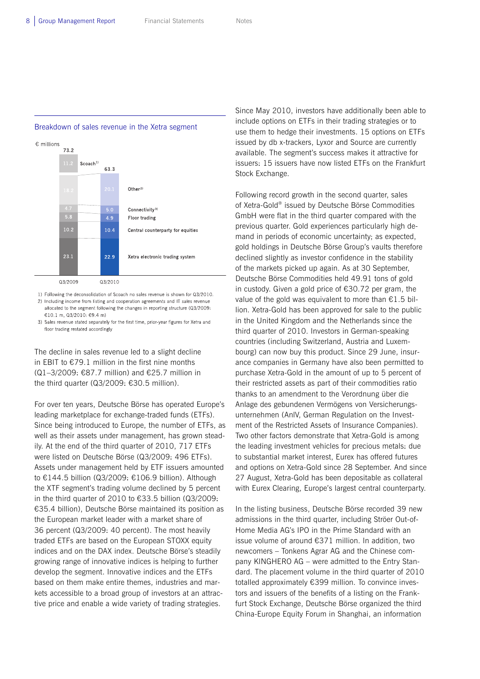#### Breakdown of sales revenue in the Xetra segment



1) Following the deconsolidation of Scoach no sales revenue is shown for Q3/2010. 2) Including income from listing and cooperation agreements and IT sales revenue allocated to the segment following the changes in reporting structure (Q3/2009 €10.1 m, Q3/2010: €9.4 m)

3) Sales revenue stated separately for the first time, prior-year figures for Xetra and floor trading restated accordingly

The decline in sales revenue led to a slight decline in EBIT to  $£79.1$  million in the first nine months (Q1–3/2009: €87.7 million) and €25.7 million in the third quarter (Q3/2009: €30.5 million).

For over ten years, Deutsche Börse has operated Europe's leading marketplace for exchange-traded funds (ETFs). Since being introduced to Europe, the number of ETFs, as well as their assets under management, has grown steadily. At the end of the third quarter of 2010, 717 ETFs were listed on Deutsche Börse (Q3/2009: 496 ETFs). Assets under management held by ETF issuers amounted to €144.5 billion (Q3/2009: €106.9 billion). Although the XTF segment's trading volume declined by 5 percent in the third quarter of 2010 to €33.5 billion (Q3/2009: €35.4 billion), Deutsche Börse maintained its position as the European market leader with a market share of 36 percent (Q3/2009: 40 percent). The most heavily traded ETFs are based on the European STOXX equity indices and on the DAX index. Deutsche Börse's steadily growing range of innovative indices is helping to further develop the segment. Innovative indices and the ETFs based on them make entire themes, industries and markets accessible to a broad group of investors at an attractive price and enable a wide variety of trading strategies.

Since May 2010, investors have additionally been able to include options on ETFs in their trading strategies or to use them to hedge their investments. 15 options on ETFs issued by db x-trackers, Lyxor and Source are currently available. The segment's success makes it attractive for issuers: 15 issuers have now listed ETFs on the Frankfurt Stock Exchange.

Following record growth in the second quarter, sales of Xetra-Gold® issued by Deutsche Börse Commodities GmbH were flat in the third quarter compared with the previous quarter. Gold experiences particularly high demand in periods of economic uncertainty; as expected, gold holdings in Deutsche Börse Group's vaults therefore declined slightly as investor confidence in the stability of the markets picked up again. As at 30 September, Deutsche Börse Commodities held 49.91 tons of gold in custody. Given a gold price of €30.72 per gram, the value of the gold was equivalent to more than €1.5 billion. Xetra-Gold has been approved for sale to the public in the United Kingdom and the Netherlands since the third quarter of 2010. Investors in German-speaking countries (including Switzerland, Austria and Luxembourg) can now buy this product. Since 29 June, insurance companies in Germany have also been permitted to purchase Xetra-Gold in the amount of up to 5 percent of their restricted assets as part of their commodities ratio thanks to an amendment to the Verordnung über die Anlage des gebundenen Vermögens von Versicherungsunternehmen (AnlV, German Regulation on the Investment of the Restricted Assets of Insurance Companies). Two other factors demonstrate that Xetra-Gold is among the leading investment vehicles for precious metals: due to substantial market interest, Eurex has offered futures and options on Xetra-Gold since 28 September. And since 27 August, Xetra-Gold has been depositable as collateral with Eurex Clearing, Europe's largest central counterparty.

In the listing business, Deutsche Börse recorded 39 new admissions in the third quarter, including Ströer Out-of-Home Media AG's IPO in the Prime Standard with an issue volume of around €371 million. In addition, two newcomers – Tonkens Agrar AG and the Chinese company KINGHERO AG – were admitted to the Entry Standard. The placement volume in the third quarter of 2010 totalled approximately €399 million. To convince investors and issuers of the benefits of a listing on the Frankfurt Stock Exchange, Deutsche Börse organized the third China-Europe Equity Forum in Shanghai, an information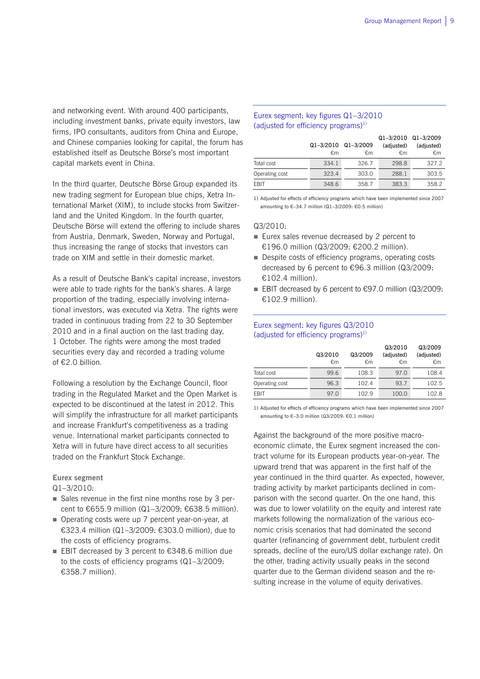and networking event. With around 400 participants, including investment banks, private equity investors, law firms, IPO consultants, auditors from China and Europe, and Chinese companies looking for capital, the forum has established itself as Deutsche Börse's most important capital markets event in China.

In the third quarter, Deutsche Börse Group expanded its new trading segment for European blue chips, Xetra International Market (XIM), to include stocks from Switzerland and the United Kingdom. In the fourth quarter, Deutsche Börse will extend the offering to include shares from Austria, Denmark, Sweden, Norway and Portugal, thus increasing the range of stocks that investors can trade on XIM and settle in their domestic market.

As a result of Deutsche Bank's capital increase, investors were able to trade rights for the bank's shares. A large proportion of the trading, especially involving international investors, was executed via Xetra. The rights were traded in continuous trading from 22 to 30 September 2010 and in a final auction on the last trading day, 1 October. The rights were among the most traded securities every day and recorded a trading volume of €2.0 billion.

Following a resolution by the Exchange Council, floor trading in the Regulated Market and the Open Market is expected to be discontinued at the latest in 2012. This will simplify the infrastructure for all market participants and increase Frankfurt's competitiveness as a trading venue. International market participants connected to Xetra will in future have direct access to all securities traded on the Frankfurt Stock Exchange.

#### **Eurex segment**

Q1–3/2010:

- Sales revenue in the first nine months rose by 3 percent to €655.9 million (Q1–3/2009: €638.5 million).
- Operating costs were up 7 percent year-on-year, at €323.4 million (Q1–3/2009: €303.0 million), due to the costs of efficiency programs.
- EBIT decreased by 3 percent to €348.6 million due to the costs of efficiency programs (Q1–3/2009: €358.7 million).

#### Eurex segment: key figures Q1–3/2010 (adjusted for efficiency programs) $1$ )

|                |       |                     | Q1-3/2010 Q1-3/2009 |            |
|----------------|-------|---------------------|---------------------|------------|
|                |       | Q1-3/2010 Q1-3/2009 | (adjusted)          | (adjusted) |
|                | €m    | €m                  | €m                  | €m         |
| Total cost     | 334.1 | 326.7               | 298.8               | 327.2      |
| Operating cost | 323.4 | 303.0               | 288.1               | 303.5      |
| <b>FRIT</b>    | 348.6 | 358.7               | 383.3               | 358.2      |

1) Adjusted for effects of efficiency programs which have been implemented since 2007 amounting to €–34.7 million (Q1–3/2009: €0.5 million)

#### Q3/2010:

- Eurex sales revenue decreased by 2 percent to €196.0 million (Q3/2009: €200.2 million).
- Despite costs of efficiency programs, operating costs decreased by 6 percent to €96.3 million (Q3/2009: €102.4 million).
- EBIT decreased by 6 percent to  $€97.0$  million (Q3/2009:  $£102.9$  million).

#### Eurex segment: key figures Q3/2010 (adjusted for efficiency programs)<sup>1)</sup>

|                | Q3/2010<br>€m | Q3/2009<br>€m | Q3/2010<br>(adjusted)<br>€m | Q3/2009<br>(adjusted)<br>€m |
|----------------|---------------|---------------|-----------------------------|-----------------------------|
| Total cost     | 99.6          | 108.3         | 97.0                        | 108.4                       |
| Operating cost | 96.3          | 102.4         | 93.7                        | 102.5                       |
| FBIT           | 97.0          | 102.9         | 100.0                       | 102.8                       |

1) Adjusted for effects of efficiency programs which have been implemented since 2007 amounting to €–3.0 million (Q3/2009: €0.1 million)

Against the background of the more positive macroeconomic climate, the Eurex segment increased the contract volume for its European products year-on-year. The upward trend that was apparent in the first half of the year continued in the third quarter. As expected, however, trading activity by market participants declined in comparison with the second quarter. On the one hand, this was due to lower volatility on the equity and interest rate markets following the normalization of the various economic crisis scenarios that had dominated the second quarter (refinancing of government debt, turbulent credit spreads, decline of the euro/US dollar exchange rate). On the other, trading activity usually peaks in the second quarter due to the German dividend season and the resulting increase in the volume of equity derivatives.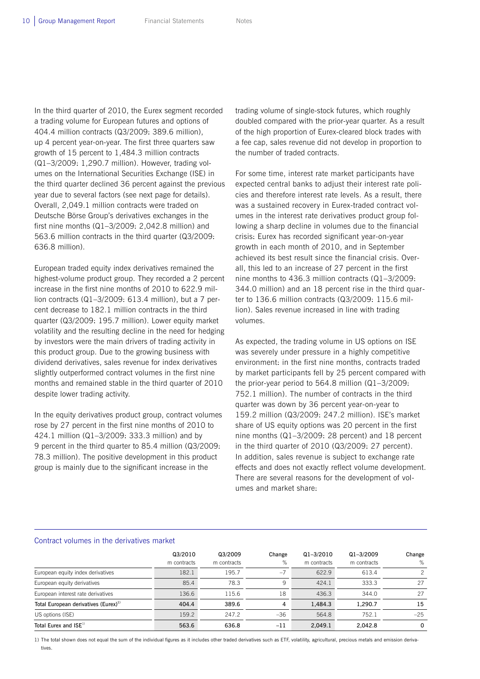In the third quarter of 2010, the Eurex segment recorded a trading volume for European futures and options of 404.4 million contracts (Q3/2009: 389.6 million), up 4 percent year-on-year. The first three quarters saw growth of 15 percent to 1,484.3 million contracts (Q1–3/2009: 1,290.7 million). However, trading volumes on the International Securities Exchange (ISE) in the third quarter declined 36 percent against the previous year due to several factors (see next page for details). Overall, 2,049.1 million contracts were traded on Deutsche Börse Group's derivatives exchanges in the first nine months (Q1–3/2009: 2,042.8 million) and 563.6 million contracts in the third quarter (Q3/2009: 636.8 million).

European traded equity index derivatives remained the highest-volume product group. They recorded a 2 percent increase in the first nine months of 2010 to 622.9 million contracts (Q1–3/2009: 613.4 million), but a 7 percent decrease to 182.1 million contracts in the third quarter (Q3/2009: 195.7 million). Lower equity market volatility and the resulting decline in the need for hedging by investors were the main drivers of trading activity in this product group. Due to the growing business with dividend derivatives, sales revenue for index derivatives slightly outperformed contract volumes in the first nine months and remained stable in the third quarter of 2010 despite lower trading activity.

In the equity derivatives product group, contract volumes rose by 27 percent in the first nine months of 2010 to 424.1 million (Q1–3/2009: 333.3 million) and by 9 percent in the third quarter to 85.4 million (Q3/2009: 78.3 million). The positive development in this product group is mainly due to the significant increase in the

trading volume of single-stock futures, which roughly doubled compared with the prior-year quarter. As a result of the high proportion of Eurex-cleared block trades with a fee cap, sales revenue did not develop in proportion to the number of traded contracts.

For some time, interest rate market participants have expected central banks to adjust their interest rate policies and therefore interest rate levels. As a result, there was a sustained recovery in Eurex-traded contract volumes in the interest rate derivatives product group following a sharp decline in volumes due to the financial crisis: Eurex has recorded significant year-on-year growth in each month of 2010, and in September achieved its best result since the financial crisis. Overall, this led to an increase of 27 percent in the first nine months to 436.3 million contracts (Q1–3/2009: 344.0 million) and an 18 percent rise in the third quarter to 136.6 million contracts (Q3/2009: 115.6 million). Sales revenue increased in line with trading volumes.

As expected, the trading volume in US options on ISE was severely under pressure in a highly competitive environment: in the first nine months, contracts traded by market participants fell by 25 percent compared with the prior-year period to 564.8 million (Q1–3/2009: 752.1 million). The number of contracts in the third quarter was down by 36 percent year-on-year to 159.2 million (Q3/2009: 247.2 million). ISE's market share of US equity options was 20 percent in the first nine months (Q1–3/2009: 28 percent) and 18 percent in the third quarter of 2010 (Q3/2009: 27 percent). In addition, sales revenue is subject to exchange rate effects and does not exactly reflect volume development. There are several reasons for the development of volumes and market share:

#### Contract volumes in the derivatives market

|                                                  | Q3/2010<br>m contracts | Q3/2009<br>m contracts | Change<br>% | $Q1 - 3/2010$<br>m contracts | $Q1 - 3/2009$<br>m contracts | Change<br>%   |
|--------------------------------------------------|------------------------|------------------------|-------------|------------------------------|------------------------------|---------------|
| European equity index derivatives                | 182.1                  | 195.7                  | $-7$        | 622.9                        | 613.4                        | $\mathcal{P}$ |
| European equity derivatives                      | 85.4                   | 78.3                   | 9           | 424.1                        | 333.3                        | 27            |
| European interest rate derivatives               | 136.6                  | 115.6                  | 18          | 436.3                        | 344.0                        | 27            |
| Total European derivatives (Eurex) <sup>1)</sup> | 404.4                  | 389.6                  | 4           | 1.484.3                      | 1.290.7                      | 15            |
| US options (ISE)                                 | 159.2                  | 247.2                  | $-36$       | 564.8                        | 752.1                        | $-25$         |
| Total Eurex and $ISE1$                           | 563.6                  | 636.8                  | $-11$       | 2.049.1                      | 2.042.8                      | 0             |

1) The total shown does not equal the sum of the individual figures as it includes other traded derivatives such as ETF, volatility, agricultural, precious metals and emission derivatives.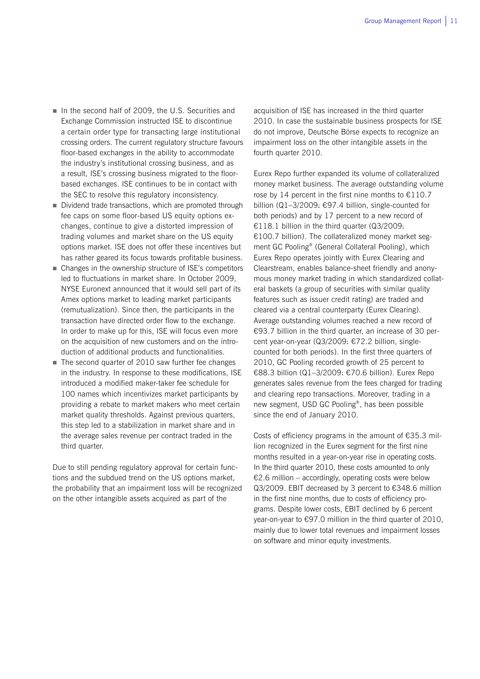- In the second half of 2009, the U.S. Securities and Exchange Commission instructed ISE to discontinue a certain order type for transacting large institutional crossing orders. The current regulatory structure favours floor-based exchanges in the ability to accommodate the industry's institutional crossing business, and as a result, ISE's crossing business migrated to the floorbased exchanges. ISE continues to be in contact with the SEC to resolve this regulatory inconsistency.
- Dividend trade transactions, which are promoted through fee caps on some floor-based US equity options exchanges, continue to give a distorted impression of trading volumes and market share on the US equity options market. ISE does not offer these incentives but has rather geared its focus towards profitable business.
- Changes in the ownership structure of ISE's competitors led to fluctuations in market share. In October 2009, NYSE Euronext announced that it would sell part of its Amex options market to leading market participants (remutualization). Since then, the participants in the transaction have directed order flow to the exchange. In order to make up for this, ISE will focus even more on the acquisition of new customers and on the introduction of additional products and functionalities.
- The second quarter of 2010 saw further fee changes in the industry. In response to these modifications, ISE introduced a modified maker-taker fee schedule for 100 names which incentivizes market participants by providing a rebate to market makers who meet certain market quality thresholds. Against previous quarters, this step led to a stabilization in market share and in the average sales revenue per contract traded in the third quarter.

Due to still pending regulatory approval for certain functions and the subdued trend on the US options market, the probability that an impairment loss will be recognized on the other intangible assets acquired as part of the

acquisition of ISE has increased in the third quarter 2010. In case the sustainable business prospects for ISE do not improve, Deutsche Börse expects to recognize an impairment loss on the other intangible assets in the fourth quarter 2010.

Eurex Repo further expanded its volume of collateralized money market business. The average outstanding volume rose by 14 percent in the first nine months to  $£110.7$ billion (Q1–3/2009: €97.4 billion, single-counted for both periods) and by 17 percent to a new record of €118.1 billion in the third quarter (Q3/2009: €100.7 billion). The collateralized money market segment GC Pooling® (General Collateral Pooling), which Eurex Repo operates jointly with Eurex Clearing and Clearstream, enables balance-sheet friendly and anonymous money market trading in which standardized collateral baskets (a group of securities with similar quality features such as issuer credit rating) are traded and cleared via a central counterparty (Eurex Clearing). Average outstanding volumes reached a new record of €93.7 billion in the third quarter, an increase of 30 percent year-on-year (Q3/2009: €72.2 billion, singlecounted for both periods). In the first three quarters of 2010, GC Pooling recorded growth of 25 percent to €88.3 billion (Q1–3/2009: €70.6 billion). Eurex Repo generates sales revenue from the fees charged for trading and clearing repo transactions. Moreover, trading in a new segment, USD GC Pooling®, has been possible since the end of January 2010.

Costs of efficiency programs in the amount of €35.3 million recognized in the Eurex segment for the first nine months resulted in a year-on-year rise in operating costs. In the third quarter 2010, these costs amounted to only €2.6 million – accordingly, operating costs were below Q3/2009. EBIT decreased by 3 percent to €348.6 million in the first nine months, due to costs of efficiency programs. Despite lower costs, EBIT declined by 6 percent year-on-year to €97.0 million in the third quarter of 2010, mainly due to lower total revenues and impairment losses on software and minor equity investments.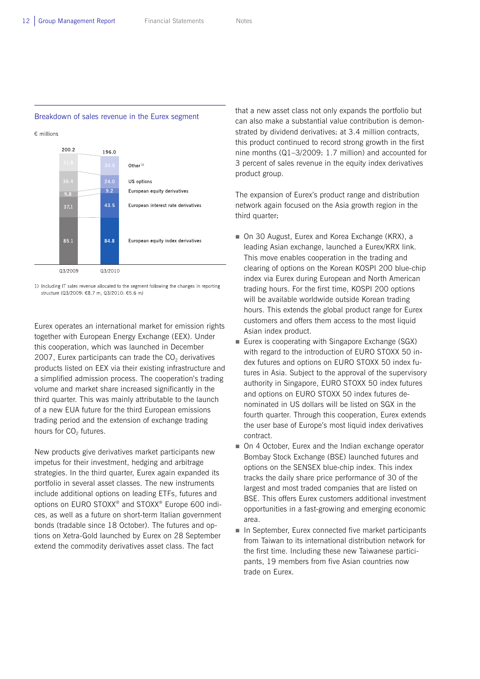#### Breakdown of sales revenue in the Eurex segment

€ millions



1) Including IT sales revenue allocated to the segment following the changes in reporting structure (Q3/2009: €8.7 m, Q3/2010: €5.6 m)

Eurex operates an international market for emission rights together with European Energy Exchange (EEX). Under this cooperation, which was launched in December 2007, Eurex participants can trade the  $CO<sub>2</sub>$  derivatives products listed on EEX via their existing infrastructure and a simplified admission process. The cooperation's trading volume and market share increased significantly in the third quarter. This was mainly attributable to the launch of a new EUA future for the third European emissions trading period and the extension of exchange trading hours for CO<sub>2</sub> futures.

New products give derivatives market participants new impetus for their investment, hedging and arbitrage strategies. In the third quarter, Eurex again expanded its portfolio in several asset classes. The new instruments include additional options on leading ETFs, futures and options on EURO STOXX® and STOXX® Europe 600 indices, as well as a future on short-term Italian government bonds (tradable since 18 October). The futures and options on Xetra-Gold launched by Eurex on 28 September extend the commodity derivatives asset class. The fact

that a new asset class not only expands the portfolio but can also make a substantial value contribution is demonstrated by dividend derivatives: at 3.4 million contracts, this product continued to record strong growth in the first nine months (Q1–3/2009: 1.7 million) and accounted for 3 percent of sales revenue in the equity index derivatives product group.

The expansion of Eurex's product range and distribution network again focused on the Asia growth region in the third quarter:

- On 30 August, Eurex and Korea Exchange (KRX), a leading Asian exchange, launched a Eurex/KRX link. This move enables cooperation in the trading and clearing of options on the Korean KOSPI 200 blue-chip index via Eurex during European and North American trading hours. For the first time, KOSPI 200 options will be available worldwide outside Korean trading hours. This extends the global product range for Eurex customers and offers them access to the most liquid Asian index product.
- **Eurex is cooperating with Singapore Exchange (SGX)** with regard to the introduction of EURO STOXX 50 index futures and options on EURO STOXX 50 index futures in Asia. Subject to the approval of the supervisory authority in Singapore, EURO STOXX 50 index futures and options on EURO STOXX 50 index futures denominated in US dollars will be listed on SGX in the fourth quarter. Through this cooperation, Eurex extends the user base of Europe's most liquid index derivatives contract.
- On 4 October, Eurex and the Indian exchange operator Bombay Stock Exchange (BSE) launched futures and options on the SENSEX blue-chip index. This index tracks the daily share price performance of 30 of the largest and most traded companies that are listed on BSE. This offers Eurex customers additional investment opportunities in a fast-growing and emerging economic area.
- $\blacksquare$  In September, Eurex connected five market participants from Taiwan to its international distribution network for the first time. Including these new Taiwanese participants, 19 members from five Asian countries now trade on Eurex.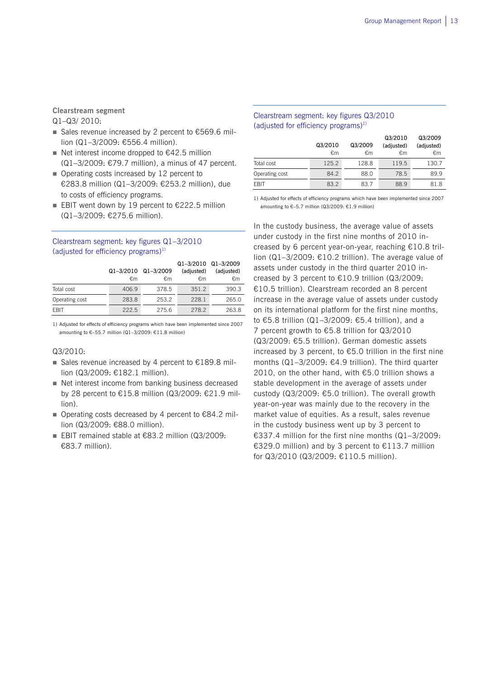**Clearstream segment** 

Q1–Q3/ 2010:

- Sales revenue increased by 2 percent to  $€569.6$  million (Q1–3/2009: €556.4 million).
- Net interest income dropped to  $€42.5$  million (Q1–3/2009: €79.7 million), a minus of 47 percent.
- Operating costs increased by 12 percent to €283.8 million (Q1–3/2009: €253.2 million), due to costs of efficiency programs.
- EBIT went down by 19 percent to  $£222.5$  million (Q1–3/2009: €275.6 million).

#### Clearstream segment: key figures Q1–3/2010 (adjusted for efficiency programs) $1$ )

|                | Q1-3/2010 Q1-3/2009<br>€m | €m    | Q1-3/2010 Q1-3/2009<br>(adjusted)<br>€m | (adjusted)<br>€m |
|----------------|---------------------------|-------|-----------------------------------------|------------------|
| Total cost     | 406.9                     | 378.5 | 351.2                                   | 390.3            |
| Operating cost | 283.8                     | 253.2 | 228.1                                   | 265.0            |
| <b>FBIT</b>    | 222.5                     | 275.6 | 278.2                                   | 263.8            |

1) Adjusted for effects of efficiency programs which have been implemented since 2007 amounting to €–55.7 million (Q1–3/2009: €11.8 million)

#### Q3/2010:

- Sales revenue increased by 4 percent to  $£189.8$  million (Q3/2009: €182.1 million).
- Net interest income from banking business decreased by 28 percent to €15.8 million (Q3/2009: €21.9 million).
- Operating costs decreased by 4 percent to  $€84.2$  million (Q3/2009: €88.0 million).
- EBIT remained stable at €83.2 million (Q3/2009: €83.7 million).

#### Clearstream segment: key figures Q3/2010 (adjusted for efficiency programs) $^{1}$ )

|                |         |         | Q3/2010    | Q3/2009    |
|----------------|---------|---------|------------|------------|
|                | Q3/2010 | Q3/2009 | (adjusted) | (adjusted) |
|                | €m      | €m      | €m         | €m         |
| Total cost     | 125.2   | 128.8   | 119.5      | 130.7      |
| Operating cost | 84.2    | 88.0    | 78.5       | 89.9       |
| <b>FBIT</b>    | 83.2    | 83.7    | 88.9       | 81.8       |

1) Adjusted for effects of efficiency programs which have been implemented since 2007 amounting to €–5.7 million (Q3/2009: €1.9 million)

In the custody business, the average value of assets under custody in the first nine months of 2010 increased by 6 percent year-on-year, reaching €10.8 trillion (Q1–3/2009: €10.2 trillion). The average value of assets under custody in the third quarter 2010 increased by 3 percent to €10.9 trillion (Q3/2009: €10.5 trillion). Clearstream recorded an 8 percent increase in the average value of assets under custody on its international platform for the first nine months, to €5.8 trillion (Q1–3/2009: €5.4 trillion), and a 7 percent growth to €5.8 trillion for Q3/2010 (Q3/2009: €5.5 trillion). German domestic assets increased by 3 percent, to €5.0 trillion in the first nine months  $(Q1-3/2009; \epsilon 4.9$  trillion). The third quarter 2010, on the other hand, with €5.0 trillion shows a stable development in the average of assets under custody (Q3/2009: €5.0 trillion). The overall growth year-on-year was mainly due to the recovery in the market value of equities. As a result, sales revenue in the custody business went up by 3 percent to €337.4 million for the first nine months (Q1–3/2009: €329.0 million) and by 3 percent to €113.7 million for Q3/2010 (Q3/2009: €110.5 million).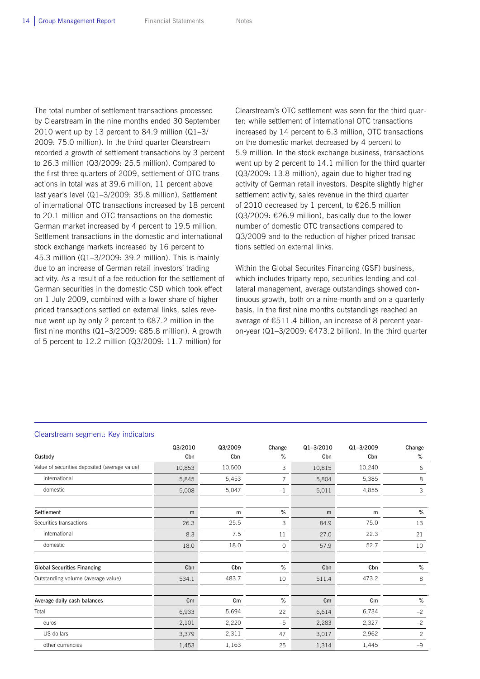The total number of settlement transactions processed by Clearstream in the nine months ended 30 September 2010 went up by 13 percent to 84.9 million (Q1–3/ 2009: 75.0 million). In the third quarter Clearstream recorded a growth of settlement transactions by 3 percent to 26.3 million (Q3/2009: 25.5 million). Compared to the first three quarters of 2009, settlement of OTC transactions in total was at 39.6 million, 11 percent above last year's level (Q1–3/2009: 35.8 million). Settlement of international OTC transactions increased by 18 percent to 20.1 million and OTC transactions on the domestic German market increased by 4 percent to 19.5 million. Settlement transactions in the domestic and international stock exchange markets increased by 16 percent to 45.3 million (Q1–3/2009: 39.2 million). This is mainly due to an increase of German retail investors' trading activity. As a result of a fee reduction for the settlement of German securities in the domestic CSD which took effect on 1 July 2009, combined with a lower share of higher priced transactions settled on external links, sales revenue went up by only 2 percent to €87.2 million in the first nine months (Q1–3/2009: €85.8 million). A growth of 5 percent to 12.2 million (Q3/2009: 11.7 million) for

Clearstream's OTC settlement was seen for the third quarter: while settlement of international OTC transactions increased by 14 percent to 6.3 million, OTC transactions on the domestic market decreased by 4 percent to 5.9 million. In the stock exchange business, transactions went up by 2 percent to 14.1 million for the third quarter (Q3/2009: 13.8 million), again due to higher trading activity of German retail investors. Despite slightly higher settlement activity, sales revenue in the third quarter of 2010 decreased by 1 percent, to €26.5 million (Q3/2009: €26.9 million), basically due to the lower number of domestic OTC transactions compared to Q3/2009 and to the reduction of higher priced transactions settled on external links.

Within the Global Securites Financing (GSF) business, which includes triparty repo, securities lending and collateral management, average outstandings showed continuous growth, both on a nine-month and on a quarterly basis. In the first nine months outstandings reached an average of €511.4 billion, an increase of 8 percent yearon-year (Q1–3/2009: €473.2 billion). In the third quarter

#### Clearstream segment: Key indicators

|                                               | Q3/2010 | Q3/2009 | Change  | $Q1 - 3/2010$ | $Q1 - 3/2009$ | Change         |
|-----------------------------------------------|---------|---------|---------|---------------|---------------|----------------|
| Custody                                       | €bn     | €bn     | %       | €bn           | €bn           | %              |
| Value of securities deposited (average value) | 10,853  | 10,500  | 3       | 10,815        | 10,240        | 6              |
| international                                 | 5,845   | 5,453   | 7       | 5,804         | 5,385         | 8              |
| domestic                                      | 5,008   | 5,047   | $-1$    | 5,011         | 4,855         | 3              |
| Settlement                                    | m       | m       | %       | m             | m             | %              |
| Securities transactions                       | 26.3    | 25.5    | 3       | 84.9          | 75.0          | 13             |
| international                                 | 8.3     | 7.5     | 11      | 27.0          | 22.3          | 21             |
| domestic                                      | 18.0    | 18.0    | $\circ$ | 57.9          | 52.7          | 10             |
| <b>Global Securities Financing</b>            | €bn     | €bn     | $\%$    | €bn           | €bn           | $\%$           |
| Outstanding volume (average value)            | 534.1   | 483.7   | 10      | 511.4         | 473.2         | 8              |
| Average daily cash balances                   | €m      | €m      | %       | €m            | €m            | %              |
| Total                                         | 6,933   | 5,694   | 22      | 6,614         | 6,734         | $-2$           |
| euros                                         | 2,101   | 2,220   | $-5$    | 2,283         | 2,327         | $-2$           |
| US dollars                                    | 3,379   | 2,311   | 47      | 3,017         | 2,962         | $\overline{c}$ |
| other currencies                              | 1,453   | 1,163   | 25      | 1,314         | 1,445         | $-9$           |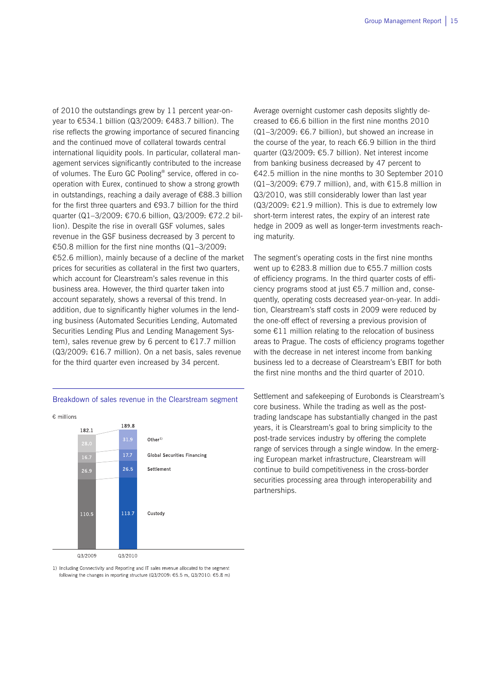of 2010 the outstandings grew by 11 percent year-onyear to €534.1 billion (Q3/2009: €483.7 billion). The rise reflects the growing importance of secured financing and the continued move of collateral towards central international liquidity pools. In particular, collateral management services significantly contributed to the increase of volumes. The Euro GC Pooling® service, offered in cooperation with Eurex, continued to show a strong growth in outstandings, reaching a daily average of €88.3 billion for the first three quarters and €93.7 billion for the third quarter (Q1–3/2009: €70.6 billion, Q3/2009: €72.2 billion). Despite the rise in overall GSF volumes, sales revenue in the GSF business decreased by 3 percent to €50.8 million for the first nine months (Q1–3/2009: €52.6 million), mainly because of a decline of the market prices for securities as collateral in the first two quarters, which account for Clearstream's sales revenue in this business area. However, the third quarter taken into account separately, shows a reversal of this trend. In addition, due to significantly higher volumes in the lending business (Automated Securities Lending, Automated Securities Lending Plus and Lending Management System), sales revenue grew by 6 percent to  $\epsilon$ 17.7 million (Q3/2009: €16.7 million). On a net basis, sales revenue for the third quarter even increased by 34 percent.

Breakdown of sales revenue in the Clearstream segment



1) Including Connectivity and Reporting and IT sales revenue allocated to the segment following the changes in reporting structure (Q3/2009: €5.5 m, Q3/2010: €5.8 m) Average overnight customer cash deposits slightly decreased to €6.6 billion in the first nine months 2010 (Q1–3/2009: €6.7 billion), but showed an increase in the course of the year, to reach €6.9 billion in the third quarter (Q3/2009: €5.7 billion). Net interest income from banking business decreased by 47 percent to €42.5 million in the nine months to 30 September 2010 (Q1–3/2009: €79.7 million), and, with €15.8 million in Q3/2010, was still considerably lower than last year  $(Q3/2009: \text{£}21.9$  million). This is due to extremely low short-term interest rates, the expiry of an interest rate hedge in 2009 as well as longer-term investments reaching maturity.

The segment's operating costs in the first nine months went up to €283.8 million due to €55.7 million costs of efficiency programs. In the third quarter costs of efficiency programs stood at just €5.7 million and, consequently, operating costs decreased year-on-year. In addition, Clearstream's staff costs in 2009 were reduced by the one-off effect of reversing a previous provision of some €11 million relating to the relocation of business areas to Prague. The costs of efficiency programs together with the decrease in net interest income from banking business led to a decrease of Clearstream's EBIT for both the first nine months and the third quarter of 2010.

Settlement and safekeeping of Eurobonds is Clearstream's core business. While the trading as well as the posttrading landscape has substantially changed in the past years, it is Clearstream's goal to bring simplicity to the post-trade services industry by offering the complete range of services through a single window. In the emerging European market infrastructure, Clearstream will continue to build competitiveness in the cross-border securities processing area through interoperability and partnerships.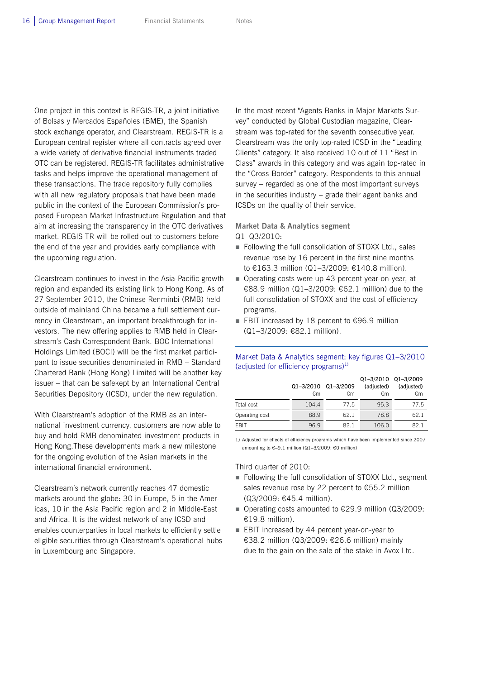One project in this context is REGIS-TR, a joint initiative of Bolsas y Mercados Españoles (BME), the Spanish stock exchange operator, and Clearstream. REGIS-TR is a European central register where all contracts agreed over a wide variety of derivative financial instruments traded OTC can be registered. REGIS-TR facilitates administrative tasks and helps improve the operational management of these transactions. The trade repository fully complies with all new regulatory proposals that have been made public in the context of the European Commission's proposed European Market Infrastructure Regulation and that aim at increasing the transparency in the OTC derivatives market. REGIS-TR will be rolled out to customers before the end of the year and provides early compliance with the upcoming regulation.

Clearstream continues to invest in the Asia-Pacific growth region and expanded its existing link to Hong Kong. As of 27 September 2010, the Chinese Renminbi (RMB) held outside of mainland China became a full settlement currency in Clearstream, an important breakthrough for investors. The new offering applies to RMB held in Clearstream's Cash Correspondent Bank. BOC International Holdings Limited (BOCI) will be the first market participant to issue securities denominated in RMB – Standard Chartered Bank (Hong Kong) Limited will be another key issuer – that can be safekept by an International Central Securities Depository (ICSD), under the new regulation.

With Clearstream's adoption of the RMB as an international investment currency, customers are now able to buy and hold RMB denominated investment products in Hong Kong.These developments mark a new milestone for the ongoing evolution of the Asian markets in the international financial environment.

Clearstream's network currently reaches 47 domestic markets around the globe: 30 in Europe, 5 in the Americas, 10 in the Asia Pacific region and 2 in Middle-East and Africa. It is the widest network of any ICSD and enables counterparties in local markets to efficiently settle eligible securities through Clearstream's operational hubs in Luxembourg and Singapore.

In the most recent "Agents Banks in Major Markets Survey" conducted by Global Custodian magazine, Clearstream was top-rated for the seventh consecutive year. Clearstream was the only top-rated ICSD in the "Leading Clients" category. It also received 10 out of 11 "Best in Class" awards in this category and was again top-rated in the "Cross-Border" category. Respondents to this annual survey – regarded as one of the most important surveys in the securities industry – grade their agent banks and ICSDs on the quality of their service.

**Market Data & Analytics segment**  Q1–Q3/2010:

- Following the full consolidation of STOXX Ltd., sales revenue rose by 16 percent in the first nine months to €163.3 million (Q1–3/2009: €140.8 million).
- Operating costs were up 43 percent year-on-year, at €88.9 million (Q1–3/2009: €62.1 million) due to the full consolidation of STOXX and the cost of efficiency programs.
- EBIT increased by 18 percent to  $€96.9$  million (Q1–3/2009: €82.1 million).

#### Market Data & Analytics segment: key figures Q1–3/2010 (adjusted for efficiency programs)<sup>1)</sup>

|                |           |           | Q1-3/2010 Q1-3/2009 |            |
|----------------|-----------|-----------|---------------------|------------|
|                | Q1-3/2010 | Q1-3/2009 | (adjusted)          | (adjusted) |
|                | €m        | €m        | €m                  | €m         |
| Total cost     | 104.4     | 77.5      | 95.3                | 77.5       |
| Operating cost | 88.9      | 62.1      | 78.8                | 62 1       |
| <b>FRIT</b>    | 96.9      | 821       | 106.0               | 821        |

1) Adjusted for effects of efficiency programs which have been implemented since 2007 amounting to €–9.1 million (Q1–3/2009: €0 million)

Third quarter of 2010:

- Following the full consolidation of STOXX Ltd., segment sales revenue rose by 22 percent to €55.2 million (Q3/2009: €45.4 million).
- Operating costs amounted to  $€29.9$  million (Q3/2009: €19.8 million).
- EBIT increased by 44 percent year-on-year to €38.2 million (Q3/2009: €26.6 million) mainly due to the gain on the sale of the stake in Avox Ltd.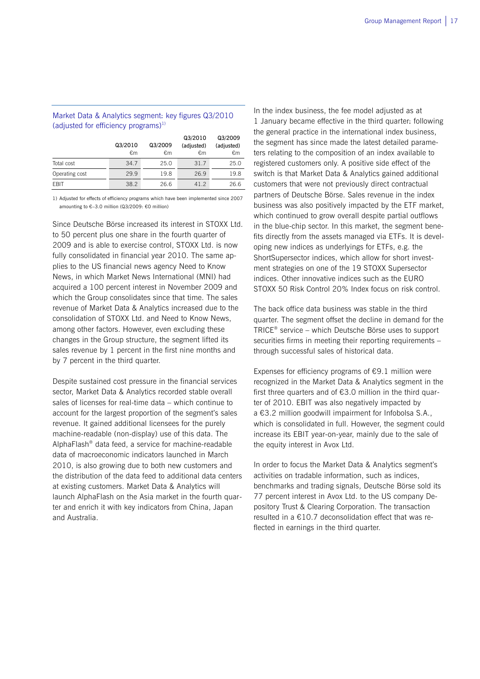#### Market Data & Analytics segment: key figures Q3/2010 (adjusted for efficiency programs) $^{1}$ )

|                |         |         | Q3/2010    | Q3/2009    |
|----------------|---------|---------|------------|------------|
|                | Q3/2010 | Q3/2009 | (adjusted) | (adjusted) |
|                | €m      | €m      | €m         | €m         |
| Total cost     | 34.7    | 25.0    | 31.7       | 25.0       |
| Operating cost | 29.9    | 19.8    | 26.9       | 19.8       |
| EBIT           | 38.2    | 26.6    | 41.2       | 26.6       |

1) Adjusted for effects of efficiency programs which have been implemented since 2007 amounting to €–3.0 million (Q3/2009: €0 million)

Since Deutsche Börse increased its interest in STOXX Ltd. to 50 percent plus one share in the fourth quarter of 2009 and is able to exercise control, STOXX Ltd. is now fully consolidated in financial year 2010. The same applies to the US financial news agency Need to Know News, in which Market News International (MNI) had acquired a 100 percent interest in November 2009 and which the Group consolidates since that time. The sales revenue of Market Data & Analytics increased due to the consolidation of STOXX Ltd. and Need to Know News, among other factors. However, even excluding these changes in the Group structure, the segment lifted its sales revenue by 1 percent in the first nine months and by 7 percent in the third quarter.

Despite sustained cost pressure in the financial services sector, Market Data & Analytics recorded stable overall sales of licenses for real-time data – which continue to account for the largest proportion of the segment's sales revenue. It gained additional licensees for the purely machine-readable (non-display) use of this data. The AlphaFlash® data feed, a service for machine-readable data of macroeconomic indicators launched in March 2010, is also growing due to both new customers and the distribution of the data feed to additional data centers at existing customers. Market Data & Analytics will launch AlphaFlash on the Asia market in the fourth quarter and enrich it with key indicators from China, Japan and Australia.

In the index business, the fee model adjusted as at 1 January became effective in the third quarter: following the general practice in the international index business, the segment has since made the latest detailed parameters relating to the composition of an index available to registered customers only. A positive side effect of the switch is that Market Data & Analytics gained additional customers that were not previously direct contractual partners of Deutsche Börse. Sales revenue in the index business was also positively impacted by the ETF market, which continued to grow overall despite partial outflows in the blue-chip sector. In this market, the segment benefits directly from the assets managed via ETFs. It is developing new indices as underlyings for ETFs, e.g. the ShortSupersector indices, which allow for short investment strategies on one of the 19 STOXX Supersector indices. Other innovative indices such as the EURO STOXX 50 Risk Control 20% Index focus on risk control.

The back office data business was stable in the third quarter. The segment offset the decline in demand for the TRICE® service – which Deutsche Börse uses to support securities firms in meeting their reporting requirements – through successful sales of historical data.

Expenses for efficiency programs of  $E$ 9.1 million were recognized in the Market Data & Analytics segment in the first three quarters and of  $63.0$  million in the third quarter of 2010. EBIT was also negatively impacted by a €3.2 million goodwill impairment for Infobolsa S.A., which is consolidated in full. However, the segment could increase its EBIT year-on-year, mainly due to the sale of the equity interest in Avox Ltd.

In order to focus the Market Data & Analytics segment's activities on tradable information, such as indices, benchmarks and trading signals, Deutsche Börse sold its 77 percent interest in Avox Ltd. to the US company Depository Trust & Clearing Corporation. The transaction resulted in a €10.7 deconsolidation effect that was reflected in earnings in the third quarter.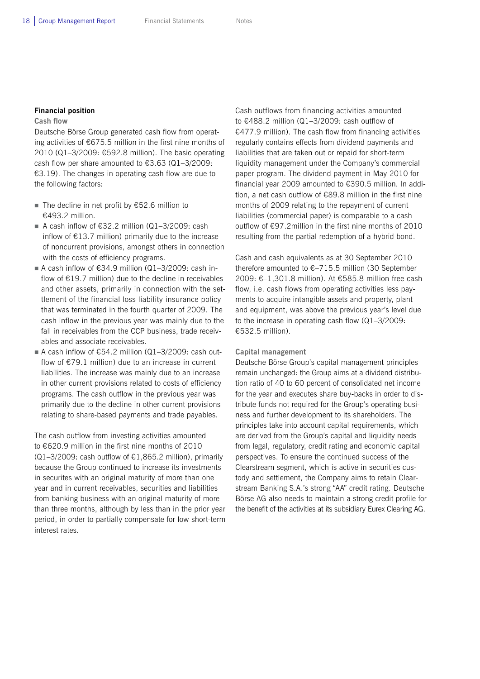#### **Financial position**

#### **Cash flow**

Deutsche Börse Group generated cash flow from operating activities of €675.5 million in the first nine months of 2010 (Q1–3/2009: €592.8 million). The basic operating cash flow per share amounted to  $£3.63$  (Q1-3/2009: €3.19). The changes in operating cash flow are due to the following factors:

- The decline in net profit by  $€52.6$  million to €493.2 million.
- A cash inflow of  $632.2$  million (Q1-3/2009; cash inflow of €13.7 million) primarily due to the increase of noncurrent provisions, amongst others in connection with the costs of efficiency programs.
- A cash inflow of  $€34.9$  million (Q1-3/2009: cash inflow of €19.7 million) due to the decline in receivables and other assets, primarily in connection with the settlement of the financial loss liability insurance policy that was terminated in the fourth quarter of 2009. The cash inflow in the previous year was mainly due to the fall in receivables from the CCP business, trade receivables and associate receivables.
- A cash inflow of €54.2 million (Q1-3/2009: cash outflow of  $E$ 79.1 million) due to an increase in current liabilities. The increase was mainly due to an increase in other current provisions related to costs of efficiency programs. The cash outflow in the previous year was primarily due to the decline in other current provisions relating to share-based payments and trade payables.

The cash outflow from investing activities amounted to €620.9 million in the first nine months of 2010 (Q1-3/2009: cash outflow of  $E1,865.2$  million), primarily because the Group continued to increase its investments in securites with an original maturity of more than one year and in current receivables, securities and liabilities from banking business with an original maturity of more than three months, although by less than in the prior year period, in order to partially compensate for low short-term interest rates.

Cash outflows from financing activities amounted to €488.2 million (Q1–3/2009: cash outflow of €477.9 million). The cash flow from financing activities regularly contains effects from dividend payments and liabilities that are taken out or repaid for short-term liquidity management under the Company's commercial paper program. The dividend payment in May 2010 for financial year 2009 amounted to €390.5 million. In addition, a net cash outflow of €89.8 million in the first nine months of 2009 relating to the repayment of current liabilities (commercial paper) is comparable to a cash outflow of €97.2million in the first nine months of 2010 resulting from the partial redemption of a hybrid bond.

Cash and cash equivalents as at 30 September 2010 therefore amounted to €–715.5 million (30 September 2009: €–1,301.8 million). At €585.8 million free cash flow, i.e. cash flows from operating activities less payments to acquire intangible assets and property, plant and equipment, was above the previous year's level due to the increase in operating cash flow (Q1–3/2009: €532.5 million).

#### **Capital management**

Deutsche Börse Group's capital management principles remain unchanged: the Group aims at a dividend distribution ratio of 40 to 60 percent of consolidated net income for the year and executes share buy-backs in order to distribute funds not required for the Group's operating business and further development to its shareholders. The principles take into account capital requirements, which are derived from the Group's capital and liquidity needs from legal, regulatory, credit rating and economic capital perspectives. To ensure the continued success of the Clearstream segment, which is active in securities custody and settlement, the Company aims to retain Clearstream Banking S.A.'s strong "AA" credit rating. Deutsche Börse AG also needs to maintain a strong credit profile for the benefit of the activities at its subsidiary Eurex Clearing AG.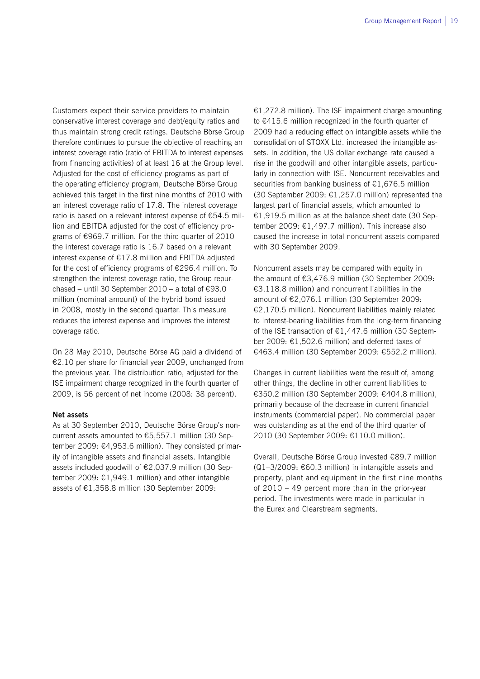Customers expect their service providers to maintain conservative interest coverage and debt/equity ratios and thus maintain strong credit ratings. Deutsche Börse Group therefore continues to pursue the objective of reaching an interest coverage ratio (ratio of EBITDA to interest expenses from financing activities) of at least 16 at the Group level. Adjusted for the cost of efficiency programs as part of the operating efficiency program, Deutsche Börse Group achieved this target in the first nine months of 2010 with an interest coverage ratio of 17.8. The interest coverage ratio is based on a relevant interest expense of €54.5 million and EBITDA adjusted for the cost of efficiency programs of €969.7 million. For the third quarter of 2010 the interest coverage ratio is 16.7 based on a relevant interest expense of €17.8 million and EBITDA adjusted for the cost of efficiency programs of €296.4 million. To strengthen the interest coverage ratio, the Group repurchased – until 30 September 2010 – a total of  $€93.0$ million (nominal amount) of the hybrid bond issued in 2008, mostly in the second quarter. This measure reduces the interest expense and improves the interest coverage ratio.

On 28 May 2010, Deutsche Börse AG paid a dividend of €2.10 per share for financial year 2009, unchanged from the previous year. The distribution ratio, adjusted for the ISE impairment charge recognized in the fourth quarter of 2009, is 56 percent of net income (2008: 38 percent).

#### **Net assets**

As at 30 September 2010, Deutsche Börse Group's noncurrent assets amounted to €5,557.1 million (30 September 2009: €4,953.6 million). They consisted primarily of intangible assets and financial assets. Intangible assets included goodwill of €2,037.9 million (30 September 2009: €1,949.1 million) and other intangible assets of €1,358.8 million (30 September 2009:

€1,272.8 million). The ISE impairment charge amounting to €415.6 million recognized in the fourth quarter of 2009 had a reducing effect on intangible assets while the consolidation of STOXX Ltd. increased the intangible assets. In addition, the US dollar exchange rate caused a rise in the goodwill and other intangible assets, particularly in connection with ISE. Noncurrent receivables and securities from banking business of €1,676.5 million (30 September 2009: €1,257.0 million) represented the largest part of financial assets, which amounted to €1,919.5 million as at the balance sheet date (30 September 2009: €1,497.7 million). This increase also caused the increase in total noncurrent assets compared with 30 September 2009.

Noncurrent assets may be compared with equity in the amount of €3,476.9 million (30 September 2009: €3,118.8 million) and noncurrent liabilities in the amount of €2,076.1 million (30 September 2009: €2,170.5 million). Noncurrent liabilities mainly related to interest-bearing liabilities from the long-term financing of the ISE transaction of €1,447.6 million (30 September 2009: €1,502.6 million) and deferred taxes of €463.4 million (30 September 2009: €552.2 million).

Changes in current liabilities were the result of, among other things, the decline in other current liabilities to €350.2 million (30 September 2009: €404.8 million), primarily because of the decrease in current financial instruments (commercial paper). No commercial paper was outstanding as at the end of the third quarter of 2010 (30 September 2009: €110.0 million).

Overall, Deutsche Börse Group invested €89.7 million (Q1–3/2009: €60.3 million) in intangible assets and property, plant and equipment in the first nine months of 2010 – 49 percent more than in the prior-year period. The investments were made in particular in the Eurex and Clearstream segments.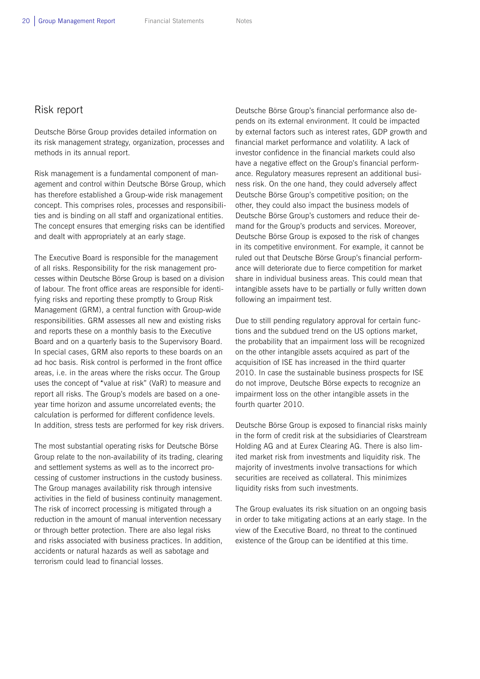### Risk report

Deutsche Börse Group provides detailed information on its risk management strategy, organization, processes and methods in its annual report.

Risk management is a fundamental component of management and control within Deutsche Börse Group, which has therefore established a Group-wide risk management concept. This comprises roles, processes and responsibilities and is binding on all staff and organizational entities. The concept ensures that emerging risks can be identified and dealt with appropriately at an early stage.

The Executive Board is responsible for the management of all risks. Responsibility for the risk management processes within Deutsche Börse Group is based on a division of labour. The front office areas are responsible for identifying risks and reporting these promptly to Group Risk Management (GRM), a central function with Group-wide responsibilities. GRM assesses all new and existing risks and reports these on a monthly basis to the Executive Board and on a quarterly basis to the Supervisory Board. In special cases, GRM also reports to these boards on an ad hoc basis. Risk control is performed in the front office areas, i.e. in the areas where the risks occur. The Group uses the concept of "value at risk" (VaR) to measure and report all risks. The Group's models are based on a oneyear time horizon and assume uncorrelated events; the calculation is performed for different confidence levels. In addition, stress tests are performed for key risk drivers.

The most substantial operating risks for Deutsche Börse Group relate to the non-availability of its trading, clearing and settlement systems as well as to the incorrect processing of customer instructions in the custody business. The Group manages availability risk through intensive activities in the field of business continuity management. The risk of incorrect processing is mitigated through a reduction in the amount of manual intervention necessary or through better protection. There are also legal risks and risks associated with business practices. In addition, accidents or natural hazards as well as sabotage and terrorism could lead to financial losses.

Deutsche Börse Group's financial performance also depends on its external environment. It could be impacted by external factors such as interest rates, GDP growth and financial market performance and volatility. A lack of investor confidence in the financial markets could also have a negative effect on the Group's financial performance. Regulatory measures represent an additional business risk. On the one hand, they could adversely affect Deutsche Börse Group's competitive position; on the other, they could also impact the business models of Deutsche Börse Group's customers and reduce their demand for the Group's products and services. Moreover, Deutsche Börse Group is exposed to the risk of changes in its competitive environment. For example, it cannot be ruled out that Deutsche Börse Group's financial performance will deteriorate due to fierce competition for market share in individual business areas. This could mean that intangible assets have to be partially or fully written down following an impairment test.

Due to still pending regulatory approval for certain functions and the subdued trend on the US options market, the probability that an impairment loss will be recognized on the other intangible assets acquired as part of the acquisition of ISE has increased in the third quarter 2010. In case the sustainable business prospects for ISE do not improve, Deutsche Börse expects to recognize an impairment loss on the other intangible assets in the fourth quarter 2010.

Deutsche Börse Group is exposed to financial risks mainly in the form of credit risk at the subsidiaries of Clearstream Holding AG and at Eurex Clearing AG. There is also limited market risk from investments and liquidity risk. The majority of investments involve transactions for which securities are received as collateral. This minimizes liquidity risks from such investments.

The Group evaluates its risk situation on an ongoing basis in order to take mitigating actions at an early stage. In the view of the Executive Board, no threat to the continued existence of the Group can be identified at this time.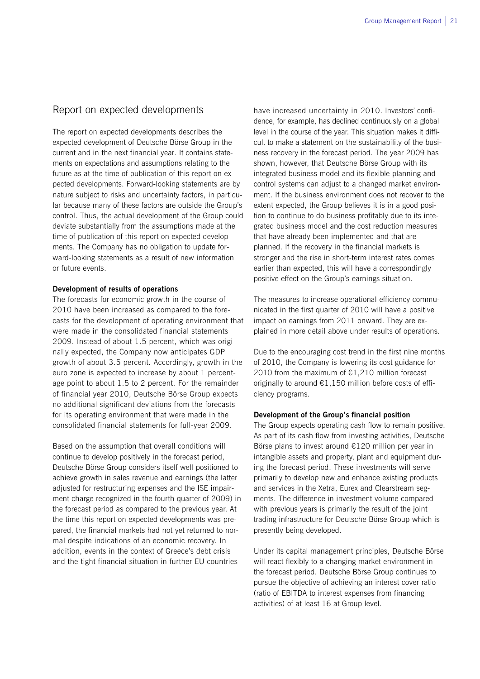### Report on expected developments

The report on expected developments describes the expected development of Deutsche Börse Group in the current and in the next financial year. It contains statements on expectations and assumptions relating to the future as at the time of publication of this report on expected developments. Forward-looking statements are by nature subject to risks and uncertainty factors, in particular because many of these factors are outside the Group's control. Thus, the actual development of the Group could deviate substantially from the assumptions made at the time of publication of this report on expected developments. The Company has no obligation to update forward-looking statements as a result of new information or future events.

#### **Development of results of operations**

The forecasts for economic growth in the course of 2010 have been increased as compared to the forecasts for the development of operating environment that were made in the consolidated financial statements 2009. Instead of about 1.5 percent, which was originally expected, the Company now anticipates GDP growth of about 3.5 percent. Accordingly, growth in the euro zone is expected to increase by about 1 percentage point to about 1.5 to 2 percent. For the remainder of financial year 2010, Deutsche Börse Group expects no additional significant deviations from the forecasts for its operating environment that were made in the consolidated financial statements for full-year 2009.

Based on the assumption that overall conditions will continue to develop positively in the forecast period, Deutsche Börse Group considers itself well positioned to achieve growth in sales revenue and earnings (the latter adjusted for restructuring expenses and the ISE impairment charge recognized in the fourth quarter of 2009) in the forecast period as compared to the previous year. At the time this report on expected developments was prepared, the financial markets had not yet returned to normal despite indications of an economic recovery. In addition, events in the context of Greece's debt crisis and the tight financial situation in further EU countries

have increased uncertainty in 2010. Investors' confidence, for example, has declined continuously on a global level in the course of the year. This situation makes it difficult to make a statement on the sustainability of the business recovery in the forecast period. The year 2009 has shown, however, that Deutsche Börse Group with its integrated business model and its flexible planning and control systems can adjust to a changed market environment. If the business environment does not recover to the extent expected, the Group believes it is in a good position to continue to do business profitably due to its integrated business model and the cost reduction measures that have already been implemented and that are planned. If the recovery in the financial markets is stronger and the rise in short-term interest rates comes earlier than expected, this will have a correspondingly positive effect on the Group's earnings situation.

The measures to increase operational efficiency communicated in the first quarter of 2010 will have a positive impact on earnings from 2011 onward. They are explained in more detail above under results of operations.

Due to the encouraging cost trend in the first nine months of 2010, the Company is lowering its cost guidance for 2010 from the maximum of  $E1,210$  million forecast originally to around €1,150 million before costs of efficiency programs.

#### **Development of the Group's financial position**

The Group expects operating cash flow to remain positive. As part of its cash flow from investing activities, Deutsche Börse plans to invest around €120 million per year in intangible assets and property, plant and equipment during the forecast period. These investments will serve primarily to develop new and enhance existing products and services in the Xetra, Eurex and Clearstream segments. The difference in investment volume compared with previous years is primarily the result of the joint trading infrastructure for Deutsche Börse Group which is presently being developed.

Under its capital management principles, Deutsche Börse will react flexibly to a changing market environment in the forecast period. Deutsche Börse Group continues to pursue the objective of achieving an interest cover ratio (ratio of EBITDA to interest expenses from financing activities) of at least 16 at Group level.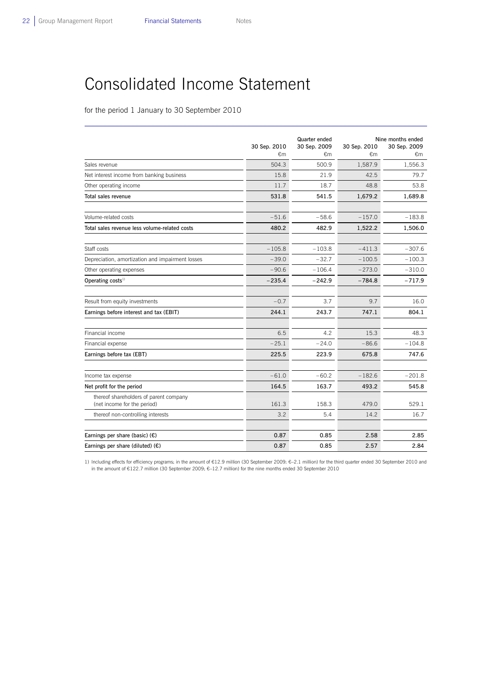L

## Consolidated Income Statement

for the period 1 January to 30 September 2010

|                                                                       | 30 Sep. 2010<br>€m | Quarter ended<br>30 Sep. 2009<br>€m | 30 Sep. 2010<br>€m | Nine months ended<br>30 Sep. 2009<br>€m |
|-----------------------------------------------------------------------|--------------------|-------------------------------------|--------------------|-----------------------------------------|
| Sales revenue                                                         | 504.3              | 500.9                               | 1,587.9            | 1,556.3                                 |
| Net interest income from banking business                             | 15.8               | 21.9                                | 42.5               | 79.7                                    |
| Other operating income                                                | 11.7               | 18.7                                | 48.8               | 53.8                                    |
| Total sales revenue                                                   | 531.8              | 541.5                               | 1,679.2            | 1,689.8                                 |
| Volume-related costs                                                  | $-51.6$            | $-58.6$                             | $-157.0$           | $-183.8$                                |
| Total sales revenue less volume-related costs                         | 480.2              | 482.9                               | 1,522.2            | 1,506.0                                 |
| Staff costs                                                           | $-105.8$           | $-103.8$                            | $-411.3$           | $-307.6$                                |
| Depreciation, amortization and impairment losses                      | $-39.0$            | $-32.7$                             | $-100.5$           | $-100.3$                                |
| Other operating expenses                                              | $-90.6$            | $-106.4$                            | $-273.0$           | $-310.0$                                |
| Operating costs <sup>1)</sup>                                         | $-235.4$           | $-242.9$                            | $-784.8$           | $-717.9$                                |
| Result from equity investments                                        | $-0.7$             | 3.7                                 | 9.7                | 16.0                                    |
| Earnings before interest and tax (EBIT)                               | 244.1              | 243.7                               | 747.1              | 804.1                                   |
| Financial income                                                      | 6.5                | 4.2                                 | 15.3               | 48.3                                    |
| Financial expense                                                     | $-25.1$            | $-24.0$                             | $-86.6$            | $-104.8$                                |
| Earnings before tax (EBT)                                             | 225.5              | 223.9                               | 675.8              | 747.6                                   |
| Income tax expense                                                    | $-61.0$            | $-60.2$                             | $-182.6$           | $-201.8$                                |
| Net profit for the period                                             | 164.5              | 163.7                               | 493.2              | 545.8                                   |
| thereof shareholders of parent company<br>(net income for the period) | 161.3              | 158.3                               | 479.0              | 529.1                                   |
| thereof non-controlling interests                                     | 3.2                | 5.4                                 | 14.2               | 16.7                                    |
| Earnings per share (basic) $(E)$                                      | 0.87               | 0.85                                | 2.58               | 2.85                                    |
| Earnings per share (diluted) $(E)$                                    | 0.87               | 0.85                                | 2.57               | 2.84                                    |

1) Including effects for efficiency programs: in the amount of €12.9 million (30 September 2009: €–2.1 million) for the third quarter ended 30 September 2010 and in the amount of €122.7 million (30 September 2009: €–12.7 million) for the nine months ended 30 September 2010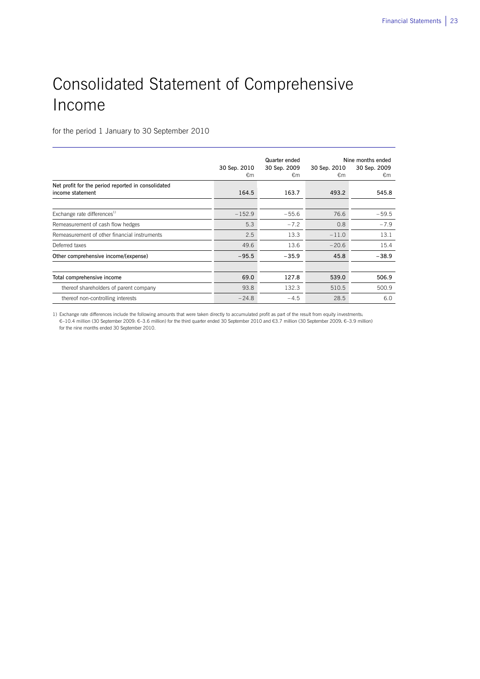## Consolidated Statement of Comprehensive Income

for the period 1 January to 30 September 2010

 $\overline{a}$ 

|                                                                        | 30 Sep. 2010<br>€m | Quarter ended<br>30 Sep. 2009<br>€m | 30 Sep. 2010<br>€m | Nine months ended<br>30 Sep. 2009<br>€m |
|------------------------------------------------------------------------|--------------------|-------------------------------------|--------------------|-----------------------------------------|
| Net profit for the period reported in consolidated<br>income statement | 164.5              | 163.7                               | 493.2              | 545.8                                   |
| Exchange rate differences <sup>1)</sup>                                | $-152.9$           | $-55.6$                             | 76.6               | $-59.5$                                 |
| Remeasurement of cash flow hedges                                      | 5.3                | $-7.2$                              | 0.8                | $-7.9$                                  |
| Remeasurement of other financial instruments                           | 2.5                | 13.3                                | $-11.0$            | 13.1                                    |
| Deferred taxes                                                         | 49.6               | 13.6                                | $-20.6$            | 15.4                                    |
| Other comprehensive income/(expense)                                   | $-95.5$            | $-35.9$                             | 45.8               | $-38.9$                                 |
|                                                                        |                    |                                     |                    |                                         |
| Total comprehensive income                                             | 69.0               | 127.8                               | 539.0              | 506.9                                   |
| thereof shareholders of parent company                                 | 93.8               | 132.3                               | 510.5              | 500.9                                   |
| thereof non-controlling interests                                      | $-24.8$            | $-4.5$                              | 28.5               | 6.0                                     |

1) Exchange rate differences include the following amounts that were taken directly to accumulated profit as part of the result from equity investments: €–10.4 million (30 September 2009: €–3.6 million) for the third quarter ended 30 September 2010 and €3.7 million (30 September 2009: €–3.9 million) for the nine months ended 30 September 2010.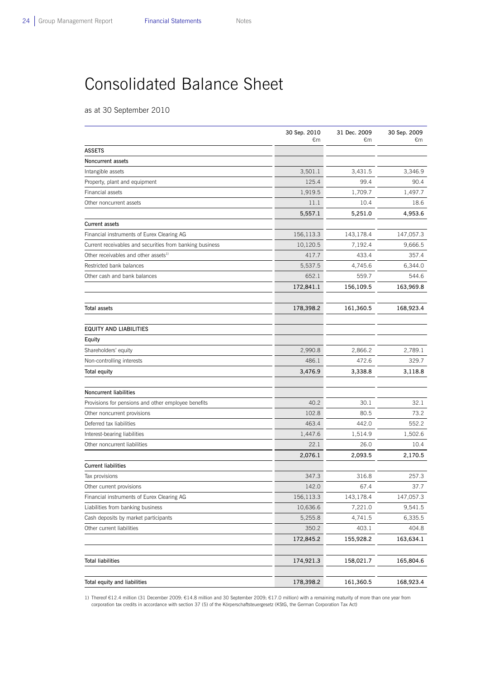$\overline{a}$ 

## Consolidated Balance Sheet

as at 30 September 2010

|                                                          | 30 Sep. 2010<br>€m | 31 Dec. 2009<br>€m | 30 Sep. 2009<br>€m |
|----------------------------------------------------------|--------------------|--------------------|--------------------|
| <b>ASSETS</b>                                            |                    |                    |                    |
| <b>Noncurrent assets</b>                                 |                    |                    |                    |
| Intangible assets                                        | 3,501.1            | 3,431.5            | 3,346.9            |
| Property, plant and equipment                            | 125.4              | 99.4               | 90.4               |
| Financial assets                                         | 1,919.5            | 1,709.7            | 1,497.7            |
| Other noncurrent assets                                  | 11.1               | 10.4               | 18.6               |
|                                                          | 5,557.1            | 5,251.0            | 4,953.6            |
| <b>Current assets</b>                                    |                    |                    |                    |
| Financial instruments of Eurex Clearing AG               | 156,113.3          | 143,178.4          | 147,057.3          |
| Current receivables and securities from banking business | 10,120.5           | 7,192.4            | 9,666.5            |
| Other receivables and other assets <sup>1)</sup>         | 417.7              | 433.4              | 357.4              |
| Restricted bank balances                                 | 5,537.5            | 4,745.6            | 6,344.0            |
| Other cash and bank balances                             | 652.1              | 559.7              | 544.6              |
|                                                          | 172,841.1          | 156,109.5          | 163,969.8          |
|                                                          |                    |                    |                    |
| <b>Total assets</b>                                      | 178,398.2          | 161,360.5          | 168,923.4          |
| <b>EQUITY AND LIABILITIES</b>                            |                    |                    |                    |
| Equity                                                   |                    |                    |                    |
| Shareholders' equity                                     | 2,990.8            | 2,866.2            | 2,789.1            |
| Non-controlling interests                                | 486.1              | 472.6              | 329.7              |
| <b>Total equity</b>                                      | 3,476.9            | 3,338.8            | 3,118.8            |
| <b>Noncurrent liabilities</b>                            |                    |                    |                    |
| Provisions for pensions and other employee benefits      | 40.2               | 30.1               | 32.1               |
| Other noncurrent provisions                              | 102.8              | 80.5               | 73.2               |
| Deferred tax liabilities                                 | 463.4              | 442.0              | 552.2              |
| Interest-bearing liabilities                             | 1,447.6            | 1,514.9            | 1,502.6            |
| Other noncurrent liabilities                             | 22.1               | 26.0               | 10.4               |
|                                                          | 2,076.1            | 2,093.5            | 2,170.5            |
| <b>Current liabilities</b>                               |                    |                    |                    |
| Tax provisions                                           | 347.3              | 316.8              | 257.3              |
| Other current provisions                                 | 142.0              | 67.4               | 37.7               |
| Financial instruments of Eurex Clearing AG               | 156,113.3          | 143,178.4          | 147,057.3          |
| Liabilities from banking business                        | 10,636.6           | 7,221.0            | 9,541.5            |
| Cash deposits by market participants                     | 5,255.8            | 4,741.5            | 6,335.5            |
| Other current liabilities                                | 350.2              | 403.1              | 404.8              |
|                                                          | 172,845.2          | 155,928.2          | 163,634.1          |
|                                                          |                    |                    |                    |
| <b>Total liabilities</b>                                 | 174,921.3          | 158,021.7          | 165,804.6          |
| Total equity and liabilities                             | 178,398.2          | 161,360.5          | 168,923.4          |

1) Thereof €12.4 million (31 December 2009: €14.8 million and 30 September 2009: €17.0 million) with a remaining maturity of more than one year from corporation tax credits in accordance with section 37 (5) of the Körperschaftsteuergesetz (KStG, the German Corporation Tax Act)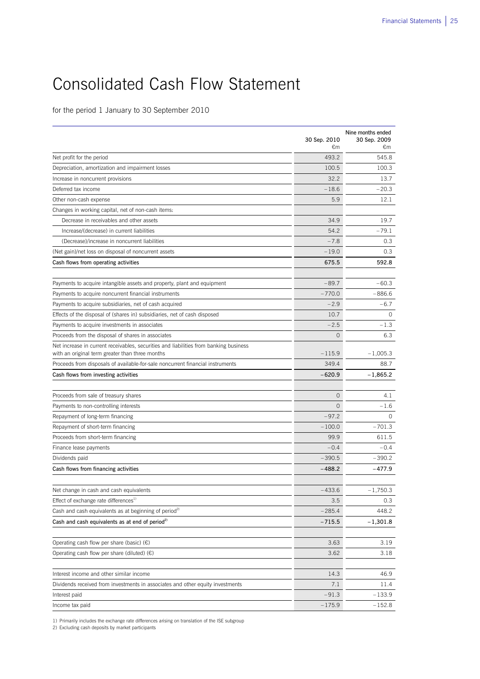## Consolidated Cash Flow Statement

for the period 1 January to 30 September 2010

|                                                                                       | 30 Sep. 2010        | Nine months ended<br>30 Sep. 2009 |
|---------------------------------------------------------------------------------------|---------------------|-----------------------------------|
|                                                                                       | €m<br>493.2         | €m<br>545.8                       |
| Net profit for the period                                                             | 100.5               | 100.3                             |
| Depreciation, amortization and impairment losses                                      | 32.2                | 13.7                              |
| Increase in noncurrent provisions                                                     |                     |                                   |
| Deferred tax income                                                                   | $-18.6$             | $-20.3$                           |
| Other non-cash expense                                                                | 5.9                 | 12.1                              |
| Changes in working capital, net of non-cash items:                                    |                     |                                   |
| Decrease in receivables and other assets                                              | 34.9                | 19.7                              |
| Increase/(decrease) in current liabilities                                            | 54.2                | $-79.1$                           |
| (Decrease)/increase in noncurrent liabilities                                         | $-7.8$              | 0.3                               |
| (Net gain)/net loss on disposal of noncurrent assets                                  | $-19.0$             | 0.3                               |
| Cash flows from operating activities                                                  | 675.5               | 592.8                             |
| Payments to acquire intangible assets and property, plant and equipment               | $-89.7$             | $-60.3$                           |
| Payments to acquire noncurrent financial instruments                                  | $-770.0$            | $-886.6$                          |
| Payments to acquire subsidiaries, net of cash acquired                                | $-2.9$              | $-6.7$                            |
| Effects of the disposal of (shares in) subsidiaries, net of cash disposed             | 10.7                | $\Omega$                          |
| Payments to acquire investments in associates                                         | $-2.5$              | $-1.3$                            |
| Proceeds from the disposal of shares in associates                                    | $\circ$             | 6.3                               |
| Net increase in current receivables, securities and liabilities from banking business |                     |                                   |
| with an original term greater than three months                                       | $-115.9$            | $-1,005.3$                        |
| Proceeds from disposals of available-for-sale noncurrent financial instruments        | 349.4               | 88.7                              |
| Cash flows from investing activities                                                  | $-620.9$            | $-1,865.2$                        |
| Proceeds from sale of treasury shares                                                 | $\circ$             | 4.1                               |
| Payments to non-controlling interests                                                 | $\Omega$            | $-1.6$                            |
|                                                                                       |                     | $\Omega$                          |
| Repayment of long-term financing                                                      | $-97.2$<br>$-100.0$ | $-701.3$                          |
| Repayment of short-term financing                                                     |                     | 611.5                             |
| Proceeds from short-term financing                                                    | 99.9                |                                   |
| Finance lease payments                                                                | $-0.4$              | $-0.4$                            |
| Dividends paid                                                                        | $-390.5$            | $-390.2$                          |
| Cash flows from financing activities                                                  | $-488.2$            | $-477.9$                          |
| Net change in cash and cash equivalents                                               | -433.6              | $-1,750.3$                        |
| Effect of exchange rate differences <sup>1)</sup>                                     | 3.5                 | 0.3                               |
| Cash and cash equivalents as at beginning of period <sup>2)</sup>                     | $-285.4$            | 448.2                             |
| Cash and cash equivalents as at end of period <sup>2)</sup>                           | -715.5              | $-1,301.8$                        |
|                                                                                       |                     |                                   |
| Operating cash flow per share (basic) $(\epsilon)$                                    | 3.63                | 3.19                              |
| Operating cash flow per share (diluted) $(\epsilon)$                                  | 3.62                | 3.18                              |
| Interest income and other similar income                                              | 14.3                | 46.9                              |
| Dividends received from investments in associates and other equity investments        | 7.1                 | 11.4                              |
| Interest paid                                                                         | $-91.3$             | $-133.9$                          |
| Income tax paid                                                                       | -175.9              | $-152.8$                          |
|                                                                                       |                     |                                   |

1) Primarily includes the exchange rate differences arising on translation of the ISE subgroup

2) Excluding cash deposits by market participants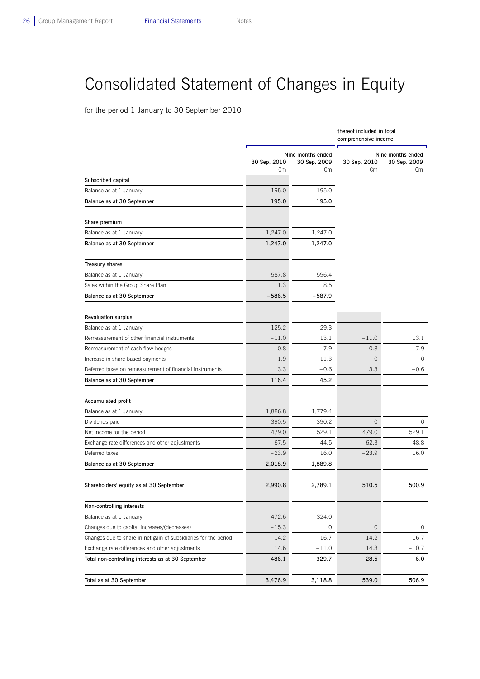L

## Consolidated Statement of Changes in Equity

for the period 1 January to 30 September 2010

|                                                                 | thereof included in total<br>comprehensive income |                                          |                |                                   |
|-----------------------------------------------------------------|---------------------------------------------------|------------------------------------------|----------------|-----------------------------------|
|                                                                 | 30 Sep. 2010                                      | ח ר<br>Nine months ended<br>30 Sep. 2009 | 30 Sep. 2010   | Nine months ended<br>30 Sep. 2009 |
|                                                                 | €m                                                | €m                                       | €m             | €m                                |
| Subscribed capital                                              |                                                   |                                          |                |                                   |
| Balance as at 1 January                                         | 195.0                                             | 195.0                                    |                |                                   |
| Balance as at 30 September                                      | 195.0                                             | 195.0                                    |                |                                   |
| Share premium                                                   |                                                   |                                          |                |                                   |
| Balance as at 1 January                                         | 1,247.0                                           | 1,247.0                                  |                |                                   |
| Balance as at 30 September                                      | 1,247.0                                           | 1,247.0                                  |                |                                   |
| Treasury shares                                                 |                                                   |                                          |                |                                   |
| Balance as at 1 January                                         | $-587.8$                                          | $-596.4$                                 |                |                                   |
| Sales within the Group Share Plan                               | 1.3                                               | 8.5                                      |                |                                   |
| Balance as at 30 September                                      | $-586.5$                                          | $-587.9$                                 |                |                                   |
| <b>Revaluation surplus</b>                                      |                                                   |                                          |                |                                   |
| Balance as at 1 January                                         | 125.2                                             | 29.3                                     |                |                                   |
| Remeasurement of other financial instruments                    | $-11.0$                                           | 13.1                                     | $-11.0$        | 13.1                              |
| Remeasurement of cash flow hedges                               | 0.8                                               | $-7.9$                                   | 0.8            | $-7.9$                            |
| Increase in share-based payments                                | $-1.9$                                            | 11.3                                     | 0              | 0                                 |
| Deferred taxes on remeasurement of financial instruments        | 3.3                                               | $-0.6$                                   | 3.3            | $-0.6$                            |
| Balance as at 30 September                                      | 116.4                                             | 45.2                                     |                |                                   |
| Accumulated profit                                              |                                                   |                                          |                |                                   |
| Balance as at 1 January                                         | 1,886.8                                           | 1,779.4                                  |                |                                   |
| Dividends paid                                                  | $-390.5$                                          | $-390.2$                                 | $\overline{0}$ | 0                                 |
| Net income for the period                                       | 479.0                                             | 529.1                                    | 479.0          | 529.1                             |
| Exchange rate differences and other adjustments                 | 67.5                                              | $-44.5$                                  | 62.3           | $-48.8$                           |
| Deferred taxes                                                  | $-23.9$                                           | 16.0                                     | $-23.9$        | 16.0                              |
| Balance as at 30 September                                      | 2,018.9                                           | 1,889.8                                  |                |                                   |
| Shareholders' equity as at 30 September                         | 2,990.8                                           | 2.789.1                                  | 510.5          | 500.9                             |
| Non-controlling interests                                       |                                                   |                                          |                |                                   |
| Balance as at 1 January                                         | 472.6                                             | 324.0                                    |                |                                   |
| Changes due to capital increases/(decreases)                    | $-15.3$                                           | 0                                        | 0              | 0                                 |
| Changes due to share in net gain of subsidiaries for the period | 14.2                                              | 16.7                                     | 14.2           | 16.7                              |
| Exchange rate differences and other adjustments                 | 14.6                                              | $-11.0$                                  | 14.3           | $-10.7$                           |
| Total non-controlling interests as at 30 September              | 486.1                                             | 329.7                                    | 28.5           | 6.0                               |
| Total as at 30 September                                        | 3,476.9                                           | 3,118.8                                  | 539.0          | 506.9                             |
|                                                                 |                                                   |                                          |                |                                   |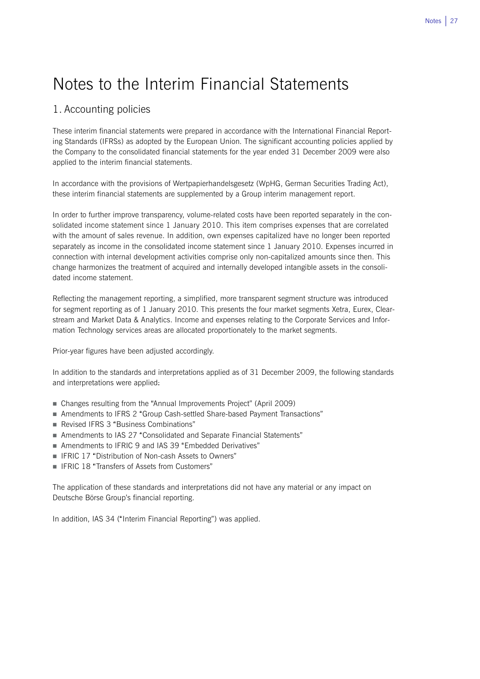## Notes to the Interim Financial Statements

## 1. Accounting policies

These interim financial statements were prepared in accordance with the International Financial Reporting Standards (IFRSs) as adopted by the European Union. The significant accounting policies applied by the Company to the consolidated financial statements for the year ended 31 December 2009 were also applied to the interim financial statements.

In accordance with the provisions of Wertpapierhandelsgesetz (WpHG, German Securities Trading Act), these interim financial statements are supplemented by a Group interim management report.

In order to further improve transparency, volume-related costs have been reported separately in the consolidated income statement since 1 January 2010. This item comprises expenses that are correlated with the amount of sales revenue. In addition, own expenses capitalized have no longer been reported separately as income in the consolidated income statement since 1 January 2010. Expenses incurred in connection with internal development activities comprise only non-capitalized amounts since then. This change harmonizes the treatment of acquired and internally developed intangible assets in the consolidated income statement.

Reflecting the management reporting, a simplified, more transparent segment structure was introduced for segment reporting as of 1 January 2010. This presents the four market segments Xetra, Eurex, Clearstream and Market Data & Analytics. Income and expenses relating to the Corporate Services and Information Technology services areas are allocated proportionately to the market segments.

Prior-year figures have been adjusted accordingly.

In addition to the standards and interpretations applied as of 31 December 2009, the following standards and interpretations were applied:

- Changes resulting from the "Annual Improvements Project" (April 2009)
- Amendments to IFRS 2 "Group Cash-settled Share-based Payment Transactions"
- Revised IFRS 3 "Business Combinations"
- Amendments to IAS 27 "Consolidated and Separate Financial Statements"
- Amendments to IFRIC 9 and IAS 39 "Embedded Derivatives"
- IFRIC 17 "Distribution of Non-cash Assets to Owners"
- IFRIC 18 "Transfers of Assets from Customers"

The application of these standards and interpretations did not have any material or any impact on Deutsche Börse Group's financial reporting.

In addition, IAS 34 ("Interim Financial Reporting") was applied.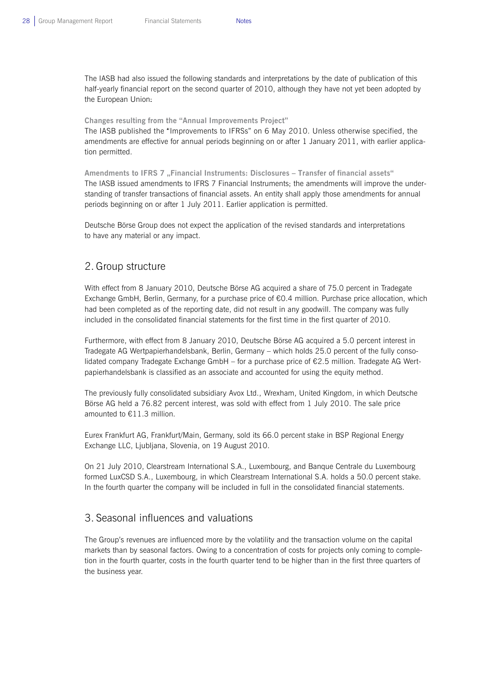The IASB had also issued the following standards and interpretations by the date of publication of this half-yearly financial report on the second quarter of 2010, although they have not yet been adopted by the European Union:

#### **Changes resulting from the "Annual Improvements Project"**

The IASB published the "Improvements to IFRSs" on 6 May 2010. Unless otherwise specified, the amendments are effective for annual periods beginning on or after 1 January 2011, with earlier application permitted.

Amendments to IFRS 7 "Financial Instruments: Disclosures - Transfer of financial assets" The IASB issued amendments to IFRS 7 Financial Instruments; the amendments will improve the understanding of transfer transactions of financial assets. An entity shall apply those amendments for annual periods beginning on or after 1 July 2011. Earlier application is permitted.

Deutsche Börse Group does not expect the application of the revised standards and interpretations to have any material or any impact.

### 2. Group structure

With effect from 8 January 2010, Deutsche Börse AG acquired a share of 75.0 percent in Tradegate Exchange GmbH, Berlin, Germany, for a purchase price of €0.4 million. Purchase price allocation, which had been completed as of the reporting date, did not result in any goodwill. The company was fully included in the consolidated financial statements for the first time in the first quarter of 2010.

Furthermore, with effect from 8 January 2010, Deutsche Börse AG acquired a 5.0 percent interest in Tradegate AG Wertpapierhandelsbank, Berlin, Germany – which holds 25.0 percent of the fully consolidated company Tradegate Exchange GmbH – for a purchase price of €2.5 million. Tradegate AG Wertpapierhandelsbank is classified as an associate and accounted for using the equity method.

The previously fully consolidated subsidiary Avox Ltd., Wrexham, United Kingdom, in which Deutsche Börse AG held a 76.82 percent interest, was sold with effect from 1 July 2010. The sale price amounted to €11.3 million.

Eurex Frankfurt AG, Frankfurt/Main, Germany, sold its 66.0 percent stake in BSP Regional Energy Exchange LLC, Ljubljana, Slovenia, on 19 August 2010.

On 21 July 2010, Clearstream International S.A., Luxembourg, and Banque Centrale du Luxembourg formed LuxCSD S.A., Luxembourg, in which Clearstream International S.A. holds a 50.0 percent stake. In the fourth quarter the company will be included in full in the consolidated financial statements.

### 3. Seasonal influences and valuations

The Group's revenues are influenced more by the volatility and the transaction volume on the capital markets than by seasonal factors. Owing to a concentration of costs for projects only coming to completion in the fourth quarter, costs in the fourth quarter tend to be higher than in the first three quarters of the business year.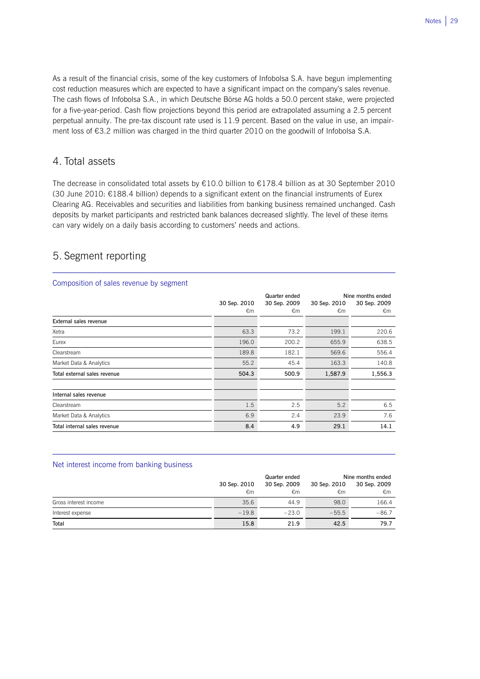As a result of the financial crisis, some of the key customers of Infobolsa S.A. have begun implementing cost reduction measures which are expected to have a significant impact on the company's sales revenue. The cash flows of Infobolsa S.A., in which Deutsche Börse AG holds a 50.0 percent stake, were projected for a five-year-period. Cash flow projections beyond this period are extrapolated assuming a 2.5 percent perpetual annuity. The pre-tax discount rate used is 11.9 percent. Based on the value in use, an impairment loss of €3.2 million was charged in the third quarter 2010 on the goodwill of Infobolsa S.A.

## 4. Total assets

The decrease in consolidated total assets by €10.0 billion to €178.4 billion as at 30 September 2010 (30 June 2010:  $E188.4$  billion) depends to a significant extent on the financial instruments of Eurex Clearing AG. Receivables and securities and liabilities from banking business remained unchanged. Cash deposits by market participants and restricted bank balances decreased slightly. The level of these items can vary widely on a daily basis according to customers' needs and actions.

## 5. Segment reporting

 $\overline{a}$ 

 $\overline{a}$ 

### Composition of sales revenue by segment  **Quarter ended Nine months ended 30 Sep. 2010 30 Sep. 2009 30 Sep. 2010 30 Sep. 2009**   $\epsilon$ m  $\epsilon$ m  $\epsilon$ m  $\epsilon$ m  $\epsilon$ m **External sales revenue** Xetra 63.3 73.2 199.1 220.6 Eurex 196.0 200.2 655.9 638.5 Clearstream 189.8 189.8 182.1 569.6 556.4 Market Data & Analytics **65.2** 163.3 140.8 163.3 140.8 **Total external sales revenue 504.3 500.9 1,587.9 1,556.3 Internal sales revenue**   $\text{Clearstream}$   $\qquad \qquad 6.5$ Market Data & Analytics 6.9 2.4 23.9 7.6 **Total internal sales revenue 8.4 4.9 29.1 14.1**

#### Net interest income from banking business

|                       |              | Quarter ended | Nine months ended |              |  |
|-----------------------|--------------|---------------|-------------------|--------------|--|
|                       | 30 Sep. 2010 | 30 Sep. 2009  | 30 Sep. 2010      | 30 Sep. 2009 |  |
|                       | €m           | €m            | €m                | €m           |  |
| Gross interest income | 35.6         | 44.9          | 98.0              | 166.4        |  |
| Interest expense      | $-19.8$      | $-23.0$       | $-55.5$           | $-86.7$      |  |
| Total                 | 15.8         | 21.9          | 42.5              | 79.7         |  |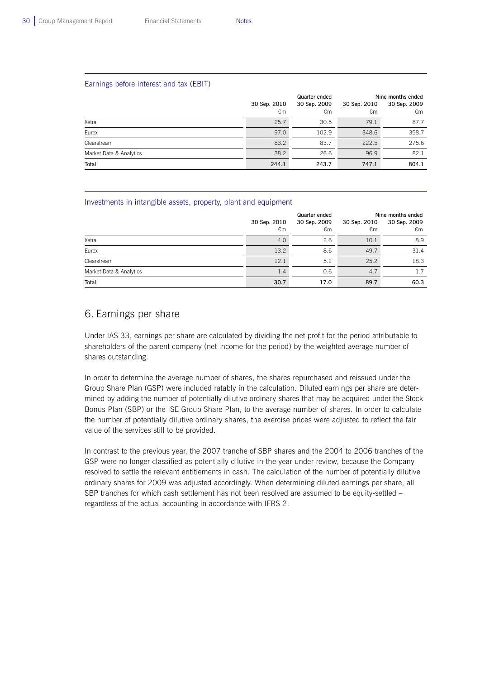$\overline{a}$ 

L

#### Earnings before interest and tax (EBIT)

|                         |              | Quarter ended | Nine months ended |              |  |
|-------------------------|--------------|---------------|-------------------|--------------|--|
|                         | 30 Sep. 2010 | 30 Sep. 2009  | 30 Sep. 2010      | 30 Sep. 2009 |  |
|                         | €m           | €m            | €m                | €m           |  |
| Xetra                   | 25.7         | 30.5          | 79.1              | 87.7         |  |
| Eurex                   | 97.0         | 102.9         | 348.6             | 358.7        |  |
| Clearstream             | 83.2         | 83.7          | 222.5             | 275.6        |  |
| Market Data & Analytics | 38.2         | 26.6          | 96.9              | 82.1         |  |
| Total                   | 244.1        | 243.7         | 747.1             | 804.1        |  |

#### Investments in intangible assets, property, plant and equipment

|                         |              | Quarter ended | Nine months ended |              |  |
|-------------------------|--------------|---------------|-------------------|--------------|--|
|                         | 30 Sep. 2010 | 30 Sep. 2009  | 30 Sep. 2010      | 30 Sep. 2009 |  |
|                         | €m           | €m            | €m                | €m           |  |
| Xetra                   | 4.0          | 2.6           | 10.1              | 8.9          |  |
| Eurex                   | 13.2         | 8.6           | 49.7              | 31.4         |  |
| Clearstream             | 12.1         | 5.2           | 25.2              | 18.3         |  |
| Market Data & Analytics | 1.4          | 0.6           | 4.7               | 1.7          |  |
| Total                   | 30.7         | 17.0          | 89.7              | 60.3         |  |

### 6. Earnings per share

Under IAS 33, earnings per share are calculated by dividing the net profit for the period attributable to shareholders of the parent company (net income for the period) by the weighted average number of shares outstanding.

In order to determine the average number of shares, the shares repurchased and reissued under the Group Share Plan (GSP) were included ratably in the calculation. Diluted earnings per share are determined by adding the number of potentially dilutive ordinary shares that may be acquired under the Stock Bonus Plan (SBP) or the ISE Group Share Plan, to the average number of shares. In order to calculate the number of potentially dilutive ordinary shares, the exercise prices were adjusted to reflect the fair value of the services still to be provided.

In contrast to the previous year, the 2007 tranche of SBP shares and the 2004 to 2006 tranches of the GSP were no longer classified as potentially dilutive in the year under review, because the Company resolved to settle the relevant entitlements in cash. The calculation of the number of potentially dilutive ordinary shares for 2009 was adjusted accordingly. When determining diluted earnings per share, all SBP tranches for which cash settlement has not been resolved are assumed to be equity-settled – regardless of the actual accounting in accordance with IFRS 2.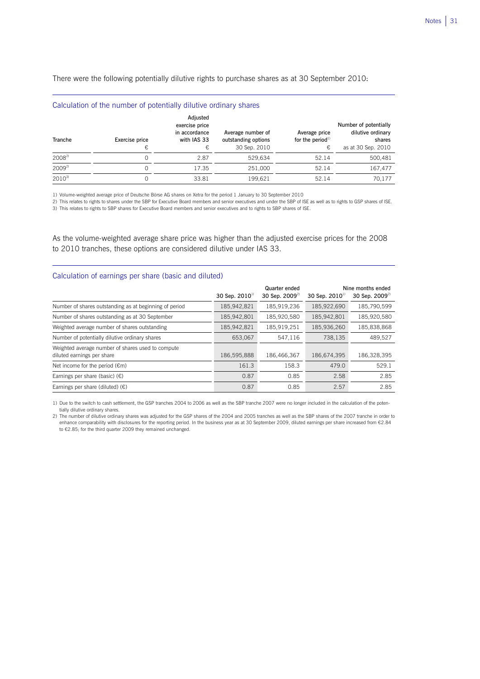There were the following potentially dilutive rights to purchase shares as at 30 September 2010:

|            | Calculation of the number of potentially dilutive ordinary shares |                                                                 |                                                          |                                          |                                                                            |
|------------|-------------------------------------------------------------------|-----------------------------------------------------------------|----------------------------------------------------------|------------------------------------------|----------------------------------------------------------------------------|
| Tranche    | Exercise price<br>€                                               | Adjusted<br>exercise price<br>in accordance<br>with IAS 33<br>€ | Average number of<br>outstanding options<br>30 Sep. 2010 | Average price<br>for the period $1$<br>€ | Number of potentially<br>dilutive ordinary<br>shares<br>as at 30 Sep. 2010 |
| $2008^{2}$ | $\Omega$                                                          | 2.87                                                            | 529,634                                                  | 52.14                                    | 500.481                                                                    |
| $2009^{2}$ | $\Omega$                                                          | 17.35                                                           | 251.000                                                  | 52.14                                    | 167.477                                                                    |
| $2010^{3}$ | $\Omega$                                                          | 33.81                                                           | 199.621                                                  | 52.14                                    | 70.177                                                                     |

1) Volume-weighted average price of Deutsche Börse AG shares on Xetra for the period 1 January to 30 September 2010

2) This relates to rights to shares under the SBP for Executive Board members and senior executives and under the SBP of ISE as well as to rights to GSP shares of ISE.

3) This relates to rights to SBP shares for Executive Board members and senior executives and to rights to SBP shares of ISE.

As the volume-weighted average share price was higher than the adjusted exercise prices for the 2008 to 2010 tranches, these options are considered dilutive under IAS 33.

#### Calculation of earnings per share (basic and diluted)

L

 $\overline{a}$ 

|                                                                                 | 30 Sep. 2010 <sup>1)</sup> | Quarter ended<br>30 Sep. 2009 <sup>2)</sup> | 30 Sep. $2010^{10}$ | Nine months ended<br>30 Sep. 2009 <sup>2)</sup> |
|---------------------------------------------------------------------------------|----------------------------|---------------------------------------------|---------------------|-------------------------------------------------|
| Number of shares outstanding as at beginning of period                          | 185,942,821                | 185,919,236                                 | 185,922,690         | 185,790,599                                     |
| Number of shares outstanding as at 30 September                                 | 185,942,801                | 185,920,580                                 | 185,942,801         | 185,920,580                                     |
| Weighted average number of shares outstanding                                   | 185,942,821                | 185,919,251                                 | 185,936,260         | 185,838,868                                     |
| Number of potentially dilutive ordinary shares                                  | 653.067                    | 547,116                                     | 738,135             | 489.527                                         |
| Weighted average number of shares used to compute<br>diluted earnings per share | 186,595,888                | 186,466,367                                 | 186.674.395         | 186,328,395                                     |
| Net income for the period $(\epsilon m)$                                        | 161.3                      | 158.3                                       | 479.0               | 529.1                                           |
| Earnings per share (basic) $(\epsilon)$                                         | 0.87                       | 0.85                                        | 2.58                | 2.85                                            |
| Earnings per share (diluted) $(E)$                                              | 0.87                       | 0.85                                        | 2.57                | 2.85                                            |

1) Due to the switch to cash settlement, the GSP tranches 2004 to 2006 as well as the SBP tranche 2007 were no longer included in the calculation of the potentially dilutive ordinary shares.

2) The number of dilutive ordinary shares was adjusted for the GSP shares of the 2004 and 2005 tranches as well as the SBP shares of the 2007 tranche in order to enhance comparability with disclosures for the reporting period. In the business year as at 30 September 2009, diluted earnings per share increased from €2.84 to €2.85; for the third quarter 2009 they remained unchanged.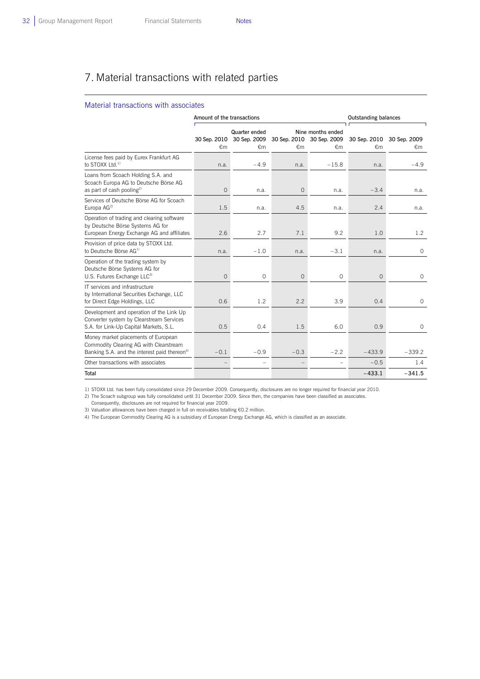$\overline{a}$ 

## 7. Material transactions with related parties

#### Material transactions with associates

|                                                                                                                                           | Amount of the transactions |                                     |                |                                                                | <b>Outstanding balances</b> |                                 |
|-------------------------------------------------------------------------------------------------------------------------------------------|----------------------------|-------------------------------------|----------------|----------------------------------------------------------------|-----------------------------|---------------------------------|
|                                                                                                                                           | 30 Sep. 2010<br>€m         | Quarter ended<br>30 Sep. 2009<br>€m | €m             | Nine months ended<br>30 Sep. 2010 30 Sep. 2009<br>$\epsilon$ m | €m                          | 30 Sep. 2010 30 Sep. 2009<br>€m |
| License fees paid by Eurex Frankfurt AG<br>to STOXX $1$ td. <sup>1)</sup>                                                                 | n.a.                       | $-4.9$                              | n.a.           | $-15.8$                                                        | n.a.                        | $-4.9$                          |
| Loans from Scoach Holding S.A. and<br>Scoach Europa AG to Deutsche Börse AG<br>as part of cash pooling <sup>2)</sup>                      | $\overline{0}$             | n.a.                                | $\overline{0}$ | n.a.                                                           | $-3.4$                      | n.a.                            |
| Services of Deutsche Börse AG for Scoach<br>Europa AG <sup>2)</sup>                                                                       | 1.5                        | n.a.                                | 4.5            | n.a.                                                           | 2.4                         | n.a.                            |
| Operation of trading and clearing software<br>by Deutsche Börse Systems AG for<br>European Energy Exchange AG and affiliates              | 2.6                        | 2.7                                 | 7.1            | 9.2                                                            | 1.0                         | 1.2                             |
| Provision of price data by STOXX Ltd.<br>to Deutsche Börse AG <sup>1)</sup>                                                               | n.a.                       | $-1.0$                              | n.a.           | $-3.1$                                                         | n.a.                        | $\mathbf 0$                     |
| Operation of the trading system by<br>Deutsche Börse Systems AG for<br>U.S. Futures Exchange LLC <sup>3)</sup>                            | $\overline{0}$             | $\circ$                             | $\overline{0}$ | $\mathsf O$                                                    | $\circ$                     | $\circ$                         |
| IT services and infrastructure<br>by International Securities Exchange, LLC<br>for Direct Edge Holdings, LLC                              | 0.6                        | 1.2                                 | 2.2            | 3.9                                                            | 0.4                         | $\circ$                         |
| Development and operation of the Link Up<br>Converter system by Clearstream Services<br>S.A. for Link-Up Capital Markets, S.L.            | 0.5                        | 0.4                                 | 1.5            | 6.0                                                            | 0.9                         | $\circ$                         |
| Money market placements of European<br>Commodity Clearing AG with Clearstream<br>Banking S.A. and the interest paid thereon <sup>4)</sup> | $-0.1$                     | $-0.9$                              | $-0.3$         | $-2.2$                                                         | $-433.9$                    | $-339.2$                        |
| Other transactions with associates                                                                                                        |                            |                                     |                |                                                                | $-0.5$                      | 1.4                             |
| Total                                                                                                                                     |                            |                                     |                |                                                                | $-433.1$                    | $-341.5$                        |

1) STOXX Ltd. has been fully consolidated since 29 December 2009. Consequently, disclosures are no longer required for financial year 2010.

2) The Scoach subgroup was fully consolidated until 31 December 2009. Since then, the companies have been classified as associates.

Consequently, disclosures are not required for financial year 2009.

3) Valuation allowances have been charged in full on receivables totalling €0.2 million.

4) The European Commodity Clearing AG is a subsidiary of European Energy Exchange AG, which is classified as an associate.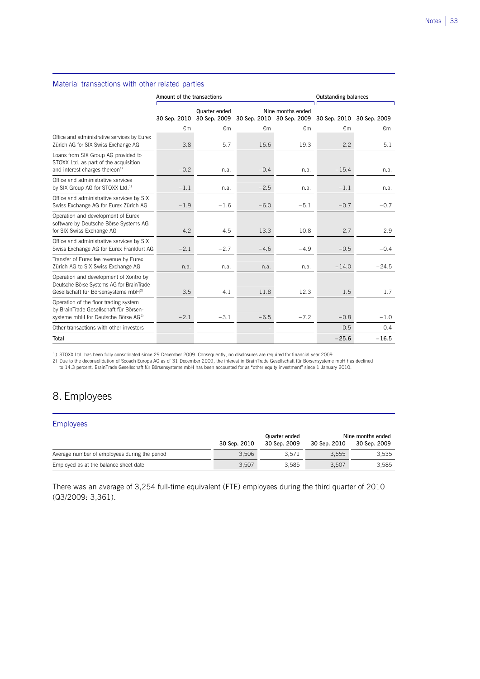#### Material transactions with other related parties

 $\overline{a}$ 

|                                                                                                                                        | Amount of the transactions |                               |        |                                                | <b>Outstanding balances</b> |                           |
|----------------------------------------------------------------------------------------------------------------------------------------|----------------------------|-------------------------------|--------|------------------------------------------------|-----------------------------|---------------------------|
|                                                                                                                                        | 30 Sep. 2010               | Quarter ended<br>30 Sep. 2009 |        | Nine months ended<br>30 Sep. 2010 30 Sep. 2009 |                             | 30 Sep. 2010 30 Sep. 2009 |
|                                                                                                                                        | €m                         | €m                            | €m     | €m                                             | €m                          | €m                        |
| Office and administrative services by Eurex<br>Zürich AG for SIX Swiss Exchange AG                                                     | 3.8                        | 5.7                           | 16.6   | 19.3                                           | 2.2                         | 5.1                       |
| Loans from SIX Group AG provided to<br>STOXX Ltd. as part of the acquisition<br>and interest charges thereon <sup>1)</sup>             | $-0.2$                     | n.a.                          | $-0.4$ | n.a.                                           | $-15.4$                     | n.a.                      |
| Office and administrative services<br>by SIX Group AG for STOXX Ltd. <sup>1)</sup>                                                     | $-1.1$                     | n.a.                          | $-2.5$ | n.a.                                           | $-1.1$                      | n.a.                      |
| Office and administrative services by SIX<br>Swiss Exchange AG for Eurex Zürich AG                                                     | $-1.9$                     | $-1.6$                        | $-6.0$ | $-5.1$                                         | $-0.7$                      | $-0.7$                    |
| Operation and development of Eurex<br>software by Deutsche Börse Systems AG<br>for SIX Swiss Exchange AG                               | 4.2                        | 4.5                           | 13.3   | 10.8                                           | 2.7                         | 2.9                       |
| Office and administrative services by SIX<br>Swiss Exchange AG for Eurex Frankfurt AG                                                  | $-2.1$                     | $-2.7$                        | $-4.6$ | $-4.9$                                         | $-0.5$                      | $-0.4$                    |
| Transfer of Eurex fee revenue by Eurex<br>Zürich AG to SIX Swiss Exchange AG                                                           | n.a.                       | n.a.                          | n.a.   | n.a.                                           | $-14.0$                     | $-24.5$                   |
| Operation and development of Xontro by<br>Deutsche Börse Systems AG for BrainTrade<br>Gesellschaft für Börsensysteme mbH <sup>2)</sup> | 3.5                        | 4.1                           | 11.8   | 12.3                                           | 1.5                         | 1.7                       |
| Operation of the floor trading system<br>by BrainTrade Gesellschaft für Börsen-<br>systeme mbH for Deutsche Börse AG <sup>2)</sup>     | $-2.1$                     | $-3.1$                        | $-6.5$ | $-7.2$                                         | $-0.8$                      | $-1.0$                    |
| Other transactions with other investors                                                                                                |                            |                               |        | ٠                                              | 0.5                         | 0.4                       |
| Total                                                                                                                                  |                            |                               |        |                                                | $-25.6$                     | $-16.5$                   |

1) STOXX Ltd. has been fully consolidated since 29 December 2009. Consequently, no disclosures are required for financial year 2009.

2) Due to the deconsolidation of Scoach Europa AG as of 31 December 2009, the interest in BrainTrade Gesellschaft für Börsensysteme mbH has declined

to 14.3 percent. BrainTrade Gesellschaft für Börsensysteme mbH has been accounted for as "other equity investment" since 1 January 2010.

## 8. Employees

L

| Employees                                     |              |               |                   |              |  |  |  |
|-----------------------------------------------|--------------|---------------|-------------------|--------------|--|--|--|
|                                               |              | Quarter ended | Nine months ended |              |  |  |  |
|                                               | 30 Sep. 2010 | 30 Sep. 2009  | 30 Sep. 2010      | 30 Sep. 2009 |  |  |  |
| Average number of employees during the period | 3.506        | 3.571         | 3.555             | 3.535        |  |  |  |
| Employed as at the balance sheet date         | 3,507        | 3.585         | 3.507             | 3.585        |  |  |  |

There was an average of 3,254 full-time equivalent (FTE) employees during the third quarter of 2010 (Q3/2009: 3,361).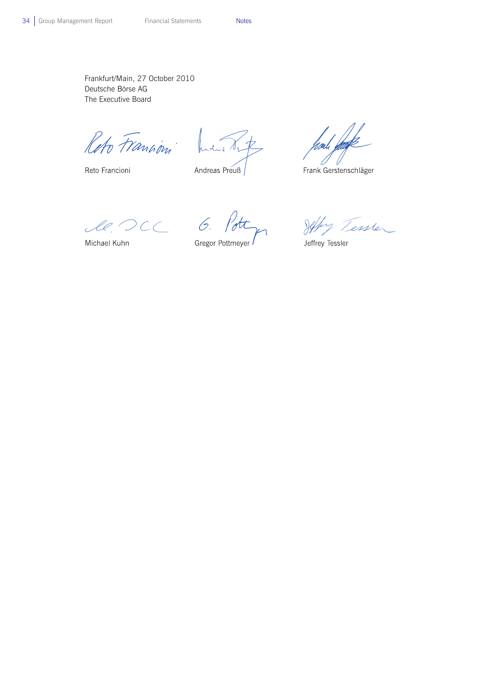Frankfurt/Main, 27 October 2010 Deutsche Börse AG The Executive Board

Reto Francion

Reto Francioni

 $\mathcal{N}_{L}$ Andreas Preuß

 $\sqrt{2}$ 

Frank Gerstenschläger

 $l. OCL 6.$ 

Gregor Pottmeyer

Jeffy Tessler

Jeffrey Tessler

Michael Kuhn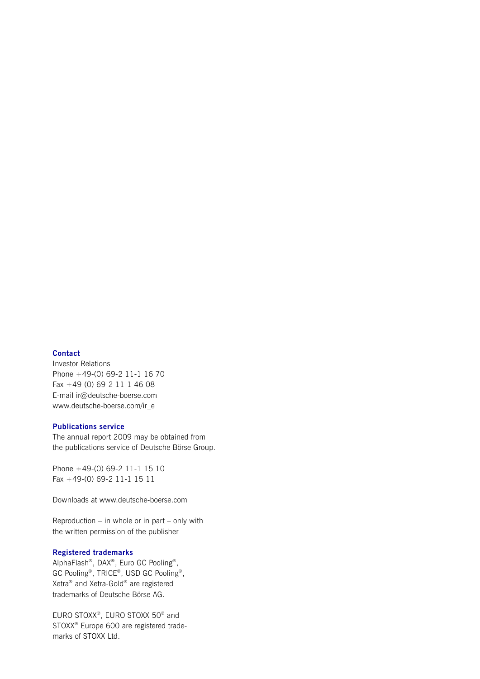#### **Contact**

Investor Relations Phone +49-(0) 69-2 11-1 16 70 Fax +49-(0) 69-2 11-1 46 08 E-mail ir@deutsche-boerse.com www.deutsche-boerse.com/ir\_e

#### **Publications service**

The annual report 2009 may be obtained from the publications service of Deutsche Börse Group.

Phone +49-(0) 69-2 11-1 15 10 Fax +49-(0) 69-2 11-1 15 11

Downloads at www.deutsche-boerse.com

Reproduction – in whole or in part – only with the written permission of the publisher

#### **Registered trademarks**

AlphaFlash®, DAX®, Euro GC Pooling®, GC Pooling®, TRICE®, USD GC Pooling®, Xetra® and Xetra-Gold® are registered trademarks of Deutsche Börse AG.

EURO STOXX®, EURO STOXX 50® and STOXX® Europe 600 are registered trademarks of STOXX Ltd.